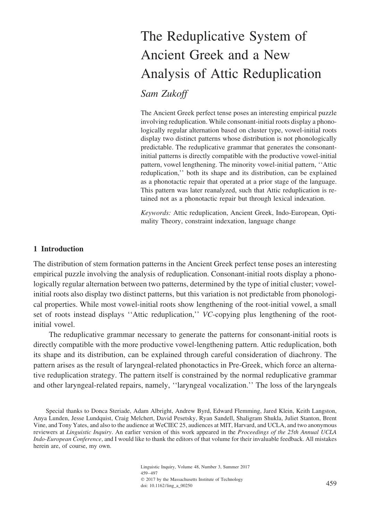# The Reduplicative System of Ancient Greek and a New Analysis of Attic Reduplication

# *Sam Zukoff*

The Ancient Greek perfect tense poses an interesting empirical puzzle involving reduplication. While consonant-initial roots display a phonologically regular alternation based on cluster type, vowel-initial roots display two distinct patterns whose distribution is not phonologically predictable. The reduplicative grammar that generates the consonantinitial patterns is directly compatible with the productive vowel-initial pattern, vowel lengthening. The minority vowel-initial pattern, ''Attic reduplication,'' both its shape and its distribution, can be explained as a phonotactic repair that operated at a prior stage of the language. This pattern was later reanalyzed, such that Attic reduplication is retained not as a phonotactic repair but through lexical indexation.

*Keywords:* Attic reduplication, Ancient Greek, Indo-European, Optimality Theory, constraint indexation, language change

# **1 Introduction**

The distribution of stem formation patterns in the Ancient Greek perfect tense poses an interesting empirical puzzle involving the analysis of reduplication. Consonant-initial roots display a phonologically regular alternation between two patterns, determined by the type of initial cluster; vowelinitial roots also display two distinct patterns, but this variation is not predictable from phonological properties. While most vowel-initial roots show lengthening of the root-initial vowel, a small set of roots instead displays ''Attic reduplication,'' *VC*-copying plus lengthening of the rootinitial vowel.

The reduplicative grammar necessary to generate the patterns for consonant-initial roots is directly compatible with the more productive vowel-lengthening pattern. Attic reduplication, both its shape and its distribution, can be explained through careful consideration of diachrony. The pattern arises as the result of laryngeal-related phonotactics in Pre-Greek, which force an alternative reduplication strategy. The pattern itself is constrained by the normal reduplicative grammar and other laryngeal-related repairs, namely, ''laryngeal vocalization.'' The loss of the laryngeals

Special thanks to Donca Steriade, Adam Albright, Andrew Byrd, Edward Flemming, Jared Klein, Keith Langston, Anya Lunden, Jesse Lundquist, Craig Melchert, David Pesetsky, Ryan Sandell, Shaligram Shukla, Juliet Stanton, Brent Vine, and Tony Yates, and also to the audience at WeCIEC 25, audiences at MIT, Harvard, and UCLA, and two anonymous reviewers at *Linguistic Inquiry*. An earlier version of this work appeared in the *Proceedings of the 25th Annual UCLA Indo-European Conference*, and I would like to thank the editors of that volume for their invaluable feedback. All mistakes herein are, of course, my own.

> Linguistic Inquiry, Volume 48, Number 3, Summer 2017 459–497  $© 2017$  by the Massachusetts Institute of Technology  $\frac{1}{201}$  doi: 10.1162/ling\_a\_00250 459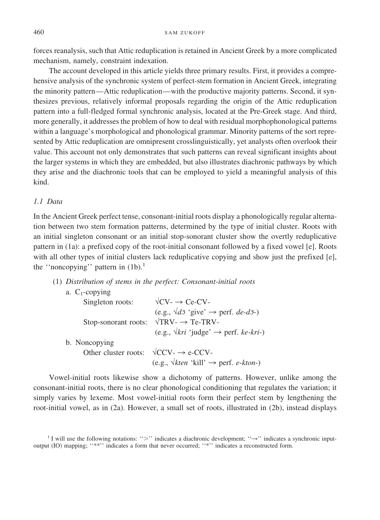forces reanalysis, such that Attic reduplication is retained in Ancient Greek by a more complicated mechanism, namely, constraint indexation.

The account developed in this article yields three primary results. First, it provides a comprehensive analysis of the synchronic system of perfect-stem formation in Ancient Greek, integrating the minority pattern—Attic reduplication—with the productive majority patterns. Second, it synthesizes previous, relatively informal proposals regarding the origin of the Attic reduplication pattern into a full-fledged formal synchronic analysis, located at the Pre-Greek stage. And third, more generally, it addresses the problem of how to deal with residual morphophonological patterns within a language's morphological and phonological grammar. Minority patterns of the sort represented by Attic reduplication are omnipresent crosslinguistically, yet analysts often overlook their value. This account not only demonstrates that such patterns can reveal significant insights about the larger systems in which they are embedded, but also illustrates diachronic pathways by which they arise and the diachronic tools that can be employed to yield a meaningful analysis of this kind.

## *1.1 Data*

In the Ancient Greek perfect tense, consonant-initial roots display a phonologically regular alternation between two stem formation patterns, determined by the type of initial cluster. Roots with an initial singleton consonant or an initial stop-sonorant cluster show the overtly reduplicative pattern in (1a): a prefixed copy of the root-initial consonant followed by a fixed vowel [e]. Roots with all other types of initial clusters lack reduplicative copying and show just the prefixed [e], the "noncopying" pattern in  $(1b)$ .<sup>1</sup>

(1) *Distribution of stems in the perfect: Consonant-initial roots*

| a. $C_1$ -copying    |                                                                                                  |
|----------------------|--------------------------------------------------------------------------------------------------|
| Singleton roots:     | $\sqrt{CV}$ $\rightarrow$ Ce-CV-                                                                 |
|                      | (e.g., $\sqrt{d}\overline{\sigma}$ 'give' $\rightarrow$ perf. <i>de-d</i> $\overline{\sigma}$ -) |
| Stop-sonorant roots: | $\sqrt{TRV} \rightarrow Te$ -TRV-                                                                |
|                      | (e.g., $\sqrt{kri}$ 'judge' $\rightarrow$ perf. ke-kri-)                                         |
| b. Noncopying        |                                                                                                  |
| Other cluster roots: | $\sqrt{CCV} \rightarrow e$ -CCV-                                                                 |
|                      | (e.g., $\sqrt{k}$ <i>ten</i> 'kill' $\rightarrow$ perf. <i>e-kton-</i> )                         |

Vowel-initial roots likewise show a dichotomy of patterns. However, unlike among the consonant-initial roots, there is no clear phonological conditioning that regulates the variation; it simply varies by lexeme. Most vowel-initial roots form their perfect stem by lengthening the root-initial vowel, as in (2a). However, a small set of roots, illustrated in (2b), instead displays

<sup>&</sup>lt;sup>1</sup> I will use the following notations: ">" indicates a diachronic development; " $\rightarrow$ " indicates a synchronic inputoutput (IO) mapping; ''\*\*'' indicates a form that never occurred; ''\*'' indicates a reconstructed form.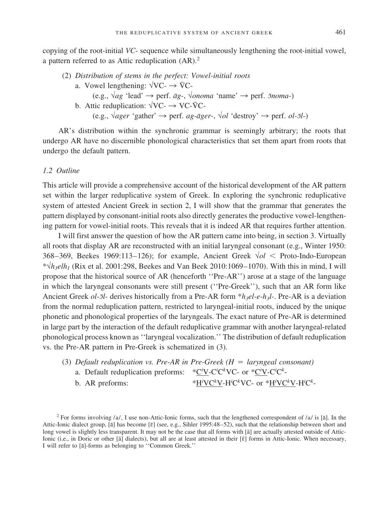copying of the root-initial *VC*- sequence while simultaneously lengthening the root-initial vowel, a pattern referred to as Attic reduplication (AR).<sup>2</sup>

- (2) *Distribution of stems in the perfect: Vowel-initial roots*
	- a. Vowel lengthening:  $\sqrt{VC} \rightarrow \overline{VC}$ 
		- (e.g.,  $\sqrt{ag}$  'lead' → perf.  $\bar{a}g$ -,  $\sqrt{onoma}$  'name' → perf.  $\bar{a}$ *noma*-)
	- b. Attic reduplication:  $\sqrt{VC} \rightarrow VC$ - $\overline{VC}$ - $(e.g., \text{Vager 'gather'} \rightarrow$  perf. *ag-āger*-,  $\sqrt{ol}$  'destroy'  $\rightarrow$  perf. *ol-5l*-)

AR's distribution within the synchronic grammar is seemingly arbitrary; the roots that undergo AR have no discernible phonological characteristics that set them apart from roots that undergo the default pattern.

#### *1.2 Outline*

This article will provide a comprehensive account of the historical development of the AR pattern set within the larger reduplicative system of Greek. In exploring the synchronic reduplicative system of attested Ancient Greek in section 2, I will show that the grammar that generates the pattern displayed by consonant-initial roots also directly generates the productive vowel-lengthening pattern for vowel-initial roots. This reveals that it is indeed AR that requires further attention.

I will first answer the question of how the AR pattern came into being, in section 3. Virtually all roots that display AR are reconstructed with an initial laryngeal consonant (e.g., Winter 1950: 368–369, Beekes 1969:113–126); for example, Ancient Greek √*ol* Proto-Indo-European \*√*h3elh1* (Rix et al. 2001:298, Beekes and Van Beek 2010:1069–1070). With this in mind, I will propose that the historical source of AR (henceforth ''Pre-AR'') arose at a stage of the language in which the laryngeal consonants were still present (''Pre-Greek''), such that an AR form like Ancient Greek *ol-5l*- derives historically from a Pre-AR form \**h<sub>3</sub>el-e-h<sub>3</sub>l*-. Pre-AR is a deviation from the normal reduplication pattern, restricted to laryngeal-initial roots, induced by the unique phonetic and phonological properties of the laryngeals. The exact nature of Pre-AR is determined in large part by the interaction of the default reduplicative grammar with another laryngeal-related phonological process known as ''laryngeal vocalization.'' The distribution of default reduplication vs. the Pre-AR pattern in Pre-Greek is schematized in (3).

(3) *Default reduplication vs. Pre-AR in Pre-Greek (H laryngeal consonant)* a. Default reduplication preforms: \*C<sup>*i*</sup>V-C<sup>*i*</sup>C<sup>*k*</sup>VC- or \*C<sup>*i*</sup>V-C<sup>*i*</sup>C<sup>*k*</sup>b. AR preforms: VC*<sup>k</sup>* V-H*<sup>i</sup>* C*k* VC- or \*H*<sup>i</sup>* VC*<sup>k</sup>* V-H*<sup>i</sup>* C*k* -

<sup>2</sup> For forms involving /a/, I use non-Attic-Ionic forms, such that the lengthened correspondent of /a/ is [a]. In the Attic-Ionic dialect group, [a] has become [ɛ] (see, e.g., Sihler 1995:48–52), such that the relationship between short and long vowel is slightly less transparent. It may not be the case that all forms with [a] are actually attested outside of Attic-Ionic (i.e., in Doric or other [a] dialects), but all are at least attested in their [ $\bar{\epsilon}$ ] forms in Attic-Ionic. When necessary, I will refer to [a]-forms as belonging to "Common Greek."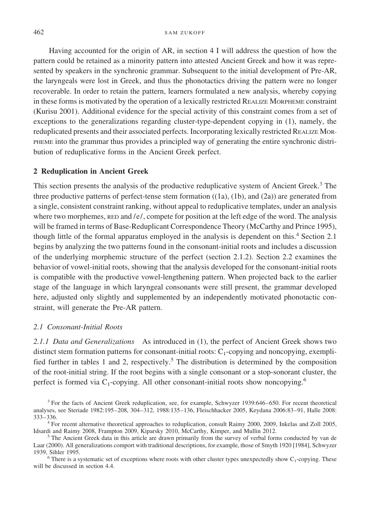Having accounted for the origin of AR, in section 4 I will address the question of how the pattern could be retained as a minority pattern into attested Ancient Greek and how it was represented by speakers in the synchronic grammar. Subsequent to the initial development of Pre-AR, the laryngeals were lost in Greek, and thus the phonotactics driving the pattern were no longer recoverable. In order to retain the pattern, learners formulated a new analysis, whereby copying in these forms is motivated by the operation of a lexically restricted REALIZE MORPHEME constraint (Kurisu 2001). Additional evidence for the special activity of this constraint comes from a set of exceptions to the generalizations regarding cluster-type-dependent copying in (1), namely, the reduplicated presents and their associated perfects. Incorporating lexically restricted REALIZE MOR-PHEME into the grammar thus provides a principled way of generating the entire synchronic distribution of reduplicative forms in the Ancient Greek perfect.

#### **2 Reduplication in Ancient Greek**

This section presents the analysis of the productive reduplicative system of Ancient Greek.<sup>3</sup> The three productive patterns of perfect-tense stem formation ((1a), (1b), and (2a)) are generated from a single, consistent constraint ranking, without appeal to reduplicative templates, under an analysis where two morphemes,  $RED$  and  $/e/$ , compete for position at the left edge of the word. The analysis will be framed in terms of Base-Reduplicant Correspondence Theory (McCarthy and Prince 1995), though little of the formal apparatus employed in the analysis is dependent on this.<sup>4</sup> Section 2.1 begins by analyzing the two patterns found in the consonant-initial roots and includes a discussion of the underlying morphemic structure of the perfect (section 2.1.2). Section 2.2 examines the behavior of vowel-initial roots, showing that the analysis developed for the consonant-initial roots is compatible with the productive vowel-lengthening pattern. When projected back to the earlier stage of the language in which laryngeal consonants were still present, the grammar developed here, adjusted only slightly and supplemented by an independently motivated phonotactic constraint, will generate the Pre-AR pattern.

#### *2.1 Consonant-Initial Roots*

*2.1.1 Data and Generalizations* As introduced in (1), the perfect of Ancient Greek shows two distinct stem formation patterns for consonant-initial roots:  $C_1$ -copying and noncopying, exemplified further in tables 1 and 2, respectively.<sup>5</sup> The distribution is determined by the composition of the root-initial string. If the root begins with a single consonant or a stop-sonorant cluster, the perfect is formed via  $C_1$ -copying. All other consonant-initial roots show noncopying.<sup>6</sup>

will be discussed in section 4.4.

<sup>3</sup> For the facts of Ancient Greek reduplication, see, for example, Schwyzer 1939:646–650. For recent theoretical analyses, see Steriade 1982:195–208, 304–312, 1988:135–136, Fleischhacker 2005, Keydana 2006:83–91, Halle 2008:

<sup>333–336.&</sup>lt;br><sup>4</sup> For recent alternative theoretical approaches to reduplication, consult Raimy 2000, 2009, Inkelas and Zoll 2005,<br>Idsardi and Raimy 2008, Frampton 2009, Kiparsky 2010, McCarthy, Kimper, and Mullin 2012.

 $<sup>5</sup>$  The Ancient Greek data in this article are drawn primarily from the survey of verbal forms conducted by van de</sup> Laar (2000). All generalizations comport with traditional descriptions, for example, those of Smyth 1920 [1984], Schwyzer 1939, Sihler 1995.<br><sup>6</sup> There is a systematic set of exceptions where roots with other cluster types unexpectedly show C<sub>1</sub>-copying. These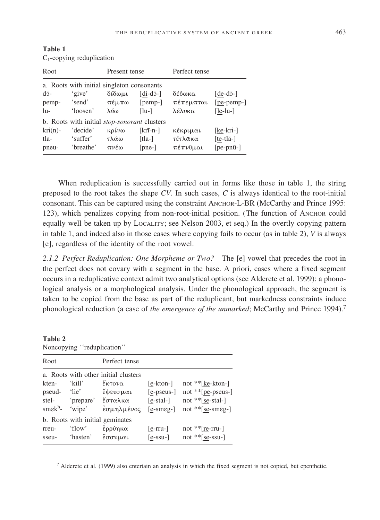|                                            | $C_1$ -copying reduplication                 |        |                               |           |                    |  |  |  |
|--------------------------------------------|----------------------------------------------|--------|-------------------------------|-----------|--------------------|--|--|--|
| Root                                       |                                              |        | Present tense                 |           |                    |  |  |  |
| a. Roots with initial singleton consonants |                                              |        |                               |           |                    |  |  |  |
| $d\bar{d}$ -                               | 'give'                                       | δίδωμι | $\lceil \text{di-d5-} \rceil$ | δέδωκα    | [ $de-d\bar{o}$ -] |  |  |  |
| pemp-                                      | 'send'                                       | πέμπω  | $[pemp-]$                     | πέπεμπται | $[pe$ -pemp-]      |  |  |  |
| lu-                                        | 'loosen'                                     | λύω    | $\lceil \ln - \rceil$         | λέλυκα    | $[$ le-lu- $]$     |  |  |  |
|                                            | b. Roots with initial stop-sonorant clusters |        |                               |           |                    |  |  |  |
| $kri(n)$ -                                 | 'decide'                                     | κρίνω  | $[kri-n-]$                    | κέκριμαι  | [ke-kri-]          |  |  |  |
| tla-                                       | 'suffer'                                     | τλάω   | [tla-]                        | τέτλακα   | $[te-tl\bar{a}$ -] |  |  |  |
| pneu-                                      | 'breathe'                                    | πνέω   | $[pre-]$                      | πέπνυμαι  | $[pe-pn\bar{u}$ -] |  |  |  |

**Table 1** copying reduplication

When reduplication is successfully carried out in forms like those in table 1, the string preposed to the root takes the shape *CV*. In such cases, *C* is always identical to the root-initial consonant. This can be captured using the constraint ANCHOR-L-BR (McCarthy and Prince 1995: 123), which penalizes copying from non-root-initial position. (The function of ANCHOR could equally well be taken up by LOCALITY; see Nelson 2003, et seq.) In the overtly copying pattern in table 1, and indeed also in those cases where copying fails to occur (as in table 2), *V* is always [e], regardless of the identity of the root vowel.

*2.1.2 Perfect Reduplication: One Morpheme or Two?* The [e] vowel that precedes the root in the perfect does not covary with a segment in the base. A priori, cases where a fixed segment occurs in a reduplicative context admit two analytical options (see Alderete et al. 1999): a phonological analysis or a morphological analysis. Under the phonological approach, the segment is taken to be copied from the base as part of the reduplicant, but markedness constraints induce phonological reduction (a case of *the emergence of the unmarked*; McCarthy and Prince 1994).<sup>7</sup>

**Table 2**

| Noncopying "reduplication"           |                                                            |               |                             |                            |  |  |  |  |
|--------------------------------------|------------------------------------------------------------|---------------|-----------------------------|----------------------------|--|--|--|--|
| Root                                 |                                                            | Perfect tense |                             |                            |  |  |  |  |
| a. Roots with other initial clusters |                                                            |               |                             |                            |  |  |  |  |
| kten-                                | 'kill'                                                     | έκτονα        | [e-kton-]                   | not **[ke-kton-]           |  |  |  |  |
| pseud- 'lie'                         |                                                            | έψευσμαι      | $[e$ -pseus- $]$            | not **[pe-pseus-]          |  |  |  |  |
| stel-                                | 'prepare' έσταλκα                                          |               | $[e$ -stal- $]$             | not **[se-stal-]           |  |  |  |  |
| $\text{sm\bar{e}k}^{\text{h}}$ -     | 'wipe'                                                     | έσμηλμένος    | $[e - sm\bar{\epsilon}g -]$ | not ** [se-sm $\bar{g}$ -] |  |  |  |  |
| b. Roots with initial geminates      |                                                            |               |                             |                            |  |  |  |  |
| rreu-                                | 'flow'                                                     | έρρύηκα       | $[$ e-rru- $]$              | not $*$ [re-rru-]          |  |  |  |  |
|                                      | sseu- 'hasten' $\epsilon \sigma \sigma \nu \mu \alpha \nu$ |               | $[e$ -ssu-                  | not **[se-ssu-]            |  |  |  |  |

<sup>7</sup> Alderete et al. (1999) also entertain an analysis in which the fixed segment is not copied, but epenthetic.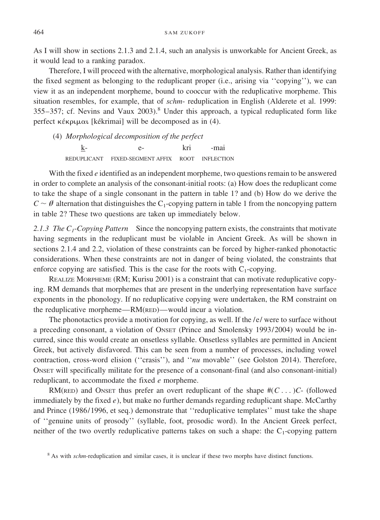As I will show in sections 2.1.3 and 2.1.4, such an analysis is unworkable for Ancient Greek, as it would lead to a ranking paradox.

Therefore, I will proceed with the alternative, morphological analysis. Rather than identifying the fixed segment as belonging to the reduplicant proper (i.e., arising via ''copying''), we can view it as an independent morpheme, bound to cooccur with the reduplicative morpheme. This situation resembles, for example, that of *schm*- reduplication in English (Alderete et al. 1999:  $355-357$ ; cf. Nevins and Vaux  $2003$ .<sup>8</sup> Under this approach, a typical reduplicated form like perfect  $\kappa \in \mathbb{R}$  [kékrimai] will be decomposed as in (4).

*Morphological decomposition of the perfect* (4)  $\underline{k}$ - e- kri REDUPLICANT FIXED-SEGMENT AFFIX ROOT -mai INFLECTION

With the fixed *e* identified as an independent morpheme, two questions remain to be answered in order to complete an analysis of the consonant-initial roots: (a) How does the reduplicant come to take the shape of a single consonant in the pattern in table 1? and (b) How do we derive the  $C \sim \emptyset$  alternation that distinguishes the C<sub>1</sub>-copying pattern in table 1 from the noncopying pattern in table 2? These two questions are taken up immediately below.

*2.1.3 The C1*-*Copying Pattern* Since the noncopying pattern exists, the constraints that motivate having segments in the reduplicant must be violable in Ancient Greek. As will be shown in sections 2.1.4 and 2.2, violation of these constraints can be forced by higher-ranked phonotactic considerations. When these constraints are not in danger of being violated, the constraints that enforce copying are satisfied. This is the case for the roots with  $C_1$ -copying.

REALIZE MORPHEME (RM; Kurisu 2001) is a constraint that can motivate reduplicative copying. RM demands that morphemes that are present in the underlying representation have surface exponents in the phonology. If no reduplicative copying were undertaken, the RM constraint on the reduplicative morpheme—RM(RED)—would incur a violation.

The phonotactics provide a motivation for copying, as well. If the /e/ were to surface without a preceding consonant, a violation of ONSET (Prince and Smolensky 1993/2004) would be incurred, since this would create an onsetless syllable. Onsetless syllables are permitted in Ancient Greek, but actively disfavored. This can be seen from a number of processes, including vowel contraction, cross-word elision (''crasis''), and ''*nu* movable'' (see Golston 2014). Therefore, ONSET will specifically militate for the presence of a consonant-final (and also consonant-initial) reduplicant, to accommodate the fixed *e* morpheme.

RM(RED) and ONSET thus prefer an overt reduplicant of the shape  $\#(C \dots)C$ - (followed immediately by the fixed  $e$ ), but make no further demands regarding reduplicant shape. McCarthy and Prince (1986/1996, et seq.) demonstrate that ''reduplicative templates'' must take the shape of ''genuine units of prosody'' (syllable, foot, prosodic word). In the Ancient Greek perfect, neither of the two overtly reduplicative patterns takes on such a shape: the  $C_1$ -copying pattern

<sup>8</sup> As with *schm*-reduplication and similar cases, it is unclear if these two morphs have distinct functions.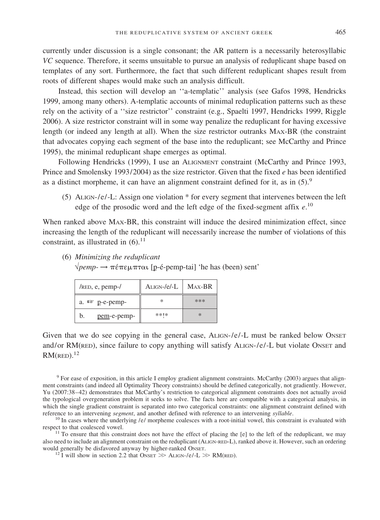currently under discussion is a single consonant; the AR pattern is a necessarily heterosyllabic *VC* sequence. Therefore, it seems unsuitable to pursue an analysis of reduplicant shape based on templates of any sort. Furthermore, the fact that such different reduplicant shapes result from roots of different shapes would make such an analysis difficult.

Instead, this section will develop an ''a-templatic'' analysis (see Gafos 1998, Hendricks 1999, among many others). A-templatic accounts of minimal reduplication patterns such as these rely on the activity of a ''size restrictor'' constraint (e.g., Spaelti 1997, Hendricks 1999, Riggle 2006). A size restrictor constraint will in some way penalize the reduplicant for having excessive length (or indeed any length at all). When the size restrictor outranks MAX-BR (the constraint that advocates copying each segment of the base into the reduplicant; see McCarthy and Prince 1995), the minimal reduplicant shape emerges as optimal.

Following Hendricks (1999), I use an ALIGNMENT constraint (McCarthy and Prince 1993, Prince and Smolensky 1993/2004) as the size restrictor. Given that the fixed *e* has been identified as a distinct morpheme, it can have an alignment constraint defined for it, as in  $(5)$ .<sup>9</sup>

(5) ALIGN-/e/-L: Assign one violation  $*$  for every segment that intervenes between the left edge of the prosodic word and the left edge of the fixed-segment affix *e*. 10

When ranked above MAX-BR, this constraint will induce the desired minimization effect, since increasing the length of the reduplicant will necessarily increase the number of violations of this constraint, as illustrated in  $(6)$ .<sup>11</sup>

- pem-e-pemp- \*\*\* \*\*!\* \* a.  $\infty$  p-e-pemp-  $\parallel$  \* b.  $/RED$ , e, pemp- $/$  | ALIGN-/e/-L | MAX-BR
- $\sqrt{pemp}$  → πέπεμπται [p-é-pemp-tai] 'he has (been) sent'

(6) *Minimizing the reduplicant*

Given that we do see copying in the general case, ALIGN-/e/-L must be ranked below ONSET and/or RM(RED), since failure to copy anything will satisfy ALIGN-/e/-L but violate ONSET and  $RM$ (RED). $^{12}$ 

<sup>9</sup> For ease of exposition, in this article I employ gradient alignment constraints. McCarthy (2003) argues that alignment constraints (and indeed all Optimality Theory constraints) should be defined categorically, not gradiently. However, Yu (2007:38–42) demonstrates that McCarthy's restriction to categorical alignment constraints does not actually avoid the typological overgeneration problem it seeks to solve. The facts here are compatible with a categorical analysis, in which the single gradient constraint is separated into two categorical constraints: one alignment constraint defined with reference to an intervening segment, and another defined with reference to an intervening syllable.

 $^{10}$  In cases where the underlying /e/ morpheme coalesces with a root-initial vowel, this constraint is evaluated with respect to that coalesced vowel.

<sup>11</sup> To ensure that this constraint does not have the effect of placing the [e] to the left of the reduplicant, we may also need to include an alignment constraint on the reduplicant (ALIGN-RED-L), ranked above it. However, such an ordering would generally be disfavored anyway by higher-ranked ONSET. would generally be disfavored anyway by higher-ranked ONSET.<br><sup>12</sup> I will show in section 2.2 that ONSET  $\gg$  ALIGN-/e/-L  $\gg$  RM(RED).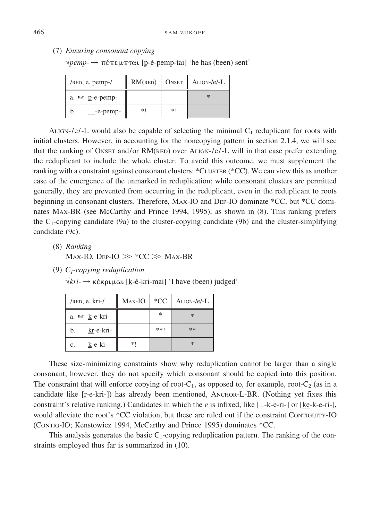(7) *Ensuring consonant copying*

 $\sqrt{pemp}$  → πέπεμπται [p-é-pemp-tai] 'he has (been) sent'

| $/$ RED, e, pemp- $/$          | $RM$ (RED) ONSET |    | $ALIGN-1e/-L$ |
|--------------------------------|------------------|----|---------------|
| a. $I^{\circledast}$ p-e-pemp- |                  |    | $\ast$        |
| -e-pemp-                       | *1               | *1 |               |

ALIGN-/e/-L would also be capable of selecting the minimal  $C_1$  reduplicant for roots with initial clusters. However, in accounting for the noncopying pattern in section 2.1.4, we will see that the ranking of ONSET and/or RM(RED) over ALIGN-/e/-L will in that case prefer extending the reduplicant to include the whole cluster. To avoid this outcome, we must supplement the ranking with a constraint against consonant clusters: \*CLUSTER (\*CC). We can view this as another case of the emergence of the unmarked in reduplication; while consonant clusters are permitted generally, they are prevented from occurring in the reduplicant, even in the reduplicant to roots beginning in consonant clusters. Therefore, MAX-IO and DEP-IO dominate \*CC, but \*CC dominates MAX-BR (see McCarthy and Prince 1994, 1995), as shown in (8). This ranking prefers the  $C_1$ -copying candidate (9a) to the cluster-copying candidate (9b) and the cluster-simplifying candidate (9c).

- (8) *Ranking* Max-IO, Dep-IO  $\gg$  \*CC  $\gg$  Max-BR
- (9) *C1-copying reduplication*

 $\sqrt{kri}$  → κέκριμαι [k-é-kri-mai] 'I have (been) judged'

| $/$ RED, e, kri- $/$     | MAX-IO | $*CC$ | $ALIGN-/e/-L$ |
|--------------------------|--------|-------|---------------|
| a. $\mathbb{R}$ k-e-kri- |        | *     | $\ast$        |
| kr-e-kri-<br>b.          |        | **!   | **            |
| k-e-ki-<br>$c_{\cdot}$   | *1     |       | $\ast$        |

These size-minimizing constraints show why reduplication cannot be larger than a single consonant; however, they do not specify which consonant should be copied into this position. The constraint that will enforce copying of root- $C_1$ , as opposed to, for example, root- $C_2$  (as in a candidate like [r-e-kri-]) has already been mentioned, ANCHOR-L-BR. (Nothing yet fixes this constraint's relative ranking.) Candidates in which the *e* is infixed, like  $[-k-e-ri-]$  or [ke-k-e-ri-], would alleviate the root's \*CC violation, but these are ruled out if the constraint CONTIGUITY-IO (CONTIG-IO; Kenstowicz 1994, McCarthy and Prince 1995) dominates \*CC.

This analysis generates the basic  $C_1$ -copying reduplication pattern. The ranking of the constraints employed thus far is summarized in (10).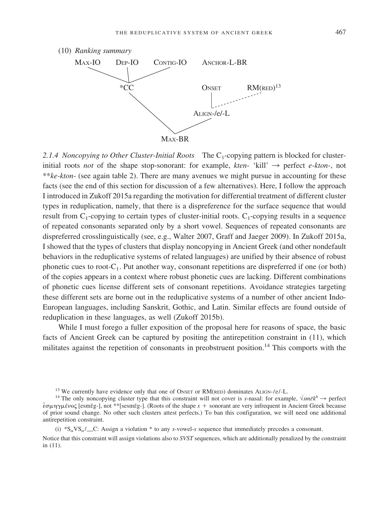

2.1.4 *Noncopying to Other Cluster-Initial Roots* The C<sub>1</sub>-copying pattern is blocked for clusterinitial roots *not* of the shape stop-sonorant: for example, *kten*- 'kill'  $\rightarrow$  perfect *e-kton*-, not \*\**ke-kton*- (see again table 2). There are many avenues we might pursue in accounting for these facts (see the end of this section for discussion of a few alternatives). Here, I follow the approach I introduced in Zukoff 2015a regarding the motivation for differential treatment of different cluster types in reduplication, namely, that there is a dispreference for the surface sequence that would result from  $C_1$ -copying to certain types of cluster-initial roots.  $C_1$ -copying results in a sequence of repeated consonants separated only by a short vowel. Sequences of repeated consonants are dispreferred crosslinguistically (see, e.g., Walter 2007, Graff and Jaeger 2009). In Zukoff 2015a, I showed that the types of clusters that display noncopying in Ancient Greek (and other nondefault behaviors in the reduplicative systems of related languages) are unified by their absence of robust phonetic cues to root- $C_1$ . Put another way, consonant repetitions are dispreferred if one (or both) of the copies appears in a context where robust phonetic cues are lacking. Different combinations of phonetic cues license different sets of consonant repetitions. Avoidance strategies targeting these different sets are borne out in the reduplicative systems of a number of other ancient Indo-European languages, including Sanskrit, Gothic, and Latin. Similar effects are found outside of reduplication in these languages, as well (Zukoff 2015b).

While I must forego a fuller exposition of the proposal here for reasons of space, the basic facts of Ancient Greek can be captured by positing the antirepetition constraint in (11), which militates against the repetition of consonants in preobstruent position.<sup>14</sup> This comports with the

Notice that this constraint will assign violations also to *SVST* sequences, which are additionally penalized by the constraint in (11).

<sup>&</sup>lt;sup>13</sup> We currently have evidence only that one of ONSET or RM(RED) dominates ALIGN-/e/-L.<br><sup>14</sup> The only noncopying cluster type that this constraint will not cover is *s*-nasal: for example,  $\sqrt{sm\bar{\epsilon}k^h} \rightarrow$  perfect  $\epsilon$ σμηγμένος [esmēg-], not \*\*[sesmēg-]. (Roots of the shape  $s +$  sonorant are very infrequent in Ancient Greek because of prior sound change. No other such clusters attest perfects.) To ban this configuration, we will need one additional antirepetition constraint.

<sup>(</sup>i)  $S_N V S_0 / C$ : Assign a violation  $*$  to any *s*-vowel-*s* sequence that immediately precedes a consonant.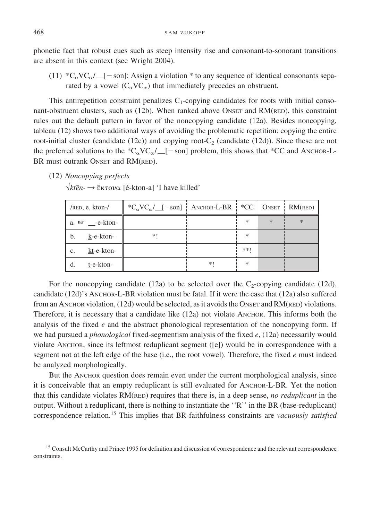phonetic fact that robust cues such as steep intensity rise and consonant-to-sonorant transitions are absent in this context (see Wright 2004).

(11)  $*C_{\alpha}VC_{\alpha}/$  [-son]: Assign a violation \* to any sequence of identical consonants separated by a vowel  $(C_{\alpha}VC_{\alpha})$  that immediately precedes an obstruent.

This antirepetition constraint penalizes  $C_1$ -copying candidates for roots with initial consonant-obstruent clusters, such as (12b). When ranked above ONSET and RM(RED), this constraint rules out the default pattern in favor of the noncopying candidate (12a). Besides noncopying, tableau (12) shows two additional ways of avoiding the problematic repetition: copying the entire root-initial cluster (candidate  $(12c)$ ) and copying root- $C_2$  (candidate  $(12d)$ ). Since these are not the preferred solutions to the  $C_{\alpha}V_{\alpha}/[-\text{son}]$  problem, this shows that \*CC and ANCHOR-L-BR must outrank ONSET and RM(RED).

(12) *Noncopying perfects*

 $\sqrt{kt\bar{e}}n$  → ξκτονα [é-kton-a] 'I have killed'

| $/$ RED, e, kton- $/$  | ${}^*C_{\alpha}VC_{\alpha}/$ [-son] ANCHOR-L-BR ${}^*CC$   ONSET   RM(RED) |    |     |        |     |
|------------------------|----------------------------------------------------------------------------|----|-----|--------|-----|
| a. $\sqrt{w}$ -e-kton- |                                                                            |    | *   | $\ast$ | $*$ |
| b.<br>k-e-kton-        | *!                                                                         |    | ∗   |        |     |
| kt-e-kton-<br>c.       |                                                                            |    | **! |        |     |
| t-e-kton-<br>d.        |                                                                            | *1 | ∗   |        |     |

For the noncopying candidate (12a) to be selected over the  $C_2$ -copying candidate (12d), candidate (12d)'s ANCHOR-L-BR violation must be fatal. If it were the case that (12a) also suffered from an ANCHOR violation,  $(12d)$  would be selected, as it avoids the ONSET and RM(RED) violations. Therefore, it is necessary that a candidate like (12a) not violate ANCHOR. This informs both the analysis of the fixed *e* and the abstract phonological representation of the noncopying form. If we had pursued a *phonological* fixed-segmentism analysis of the fixed *e*, (12a) necessarily would violate ANCHOR, since its leftmost reduplicant segment ([e]) would be in correspondence with a segment not at the left edge of the base (i.e., the root vowel). Therefore, the fixed *e* must indeed be analyzed morphologically.

But the ANCHOR question does remain even under the current morphological analysis, since it is conceivable that an empty reduplicant is still evaluated for ANCHOR-L-BR. Yet the notion that this candidate violates RM(RED) requires that there is, in a deep sense, *no reduplicant* in the output. Without a reduplicant, there is nothing to instantiate the ''R'' in the BR (base-reduplicant) correspondence relation.<sup>15</sup> This implies that BR-faithfulness constraints are *vacuously satisfied*

<sup>&</sup>lt;sup>15</sup> Consult McCarthy and Prince 1995 for definition and discussion of correspondence and the relevant correspondence constraints.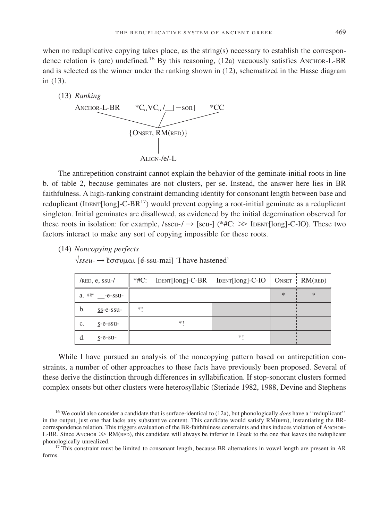when no reduplicative copying takes place, as the string(s) necessary to establish the correspondence relation is (are) undefined.<sup>16</sup> By this reasoning,  $(12a)$  vacuously satisfies ANCHOR-L-BR and is selected as the winner under the ranking shown in (12), schematized in the Hasse diagram in (13).



The antirepetition constraint cannot explain the behavior of the geminate-initial roots in line b. of table 2, because geminates are not clusters, per se. Instead, the answer here lies in BR faithfulness. A high-ranking constraint demanding identity for consonant length between base and reduplicant (IDENT[long]-C-BR<sup>17</sup>) would prevent copying a root-initial geminate as a reduplicant singleton. Initial geminates are disallowed, as evidenced by the initial degemination observed for these roots in isolation: for example, /sseu-/ $\rightarrow$  [seu-] (\*#C:  $\gg$  IDENT[long]-C-IO). These two factors interact to make any sort of copying impossible for these roots.

(14) *Noncopying perfects*

 $\sqrt{\text{SSeu}}$  → ξσσυμαι [é-ssu-mai] 'I have hastened'

| $/RED$ , e, ssu- $/$    |    | *#C: IDENT[long]-C-BR   IDENT[long]-C-IO   ONSET   RM(RED) |    |     |     |
|-------------------------|----|------------------------------------------------------------|----|-----|-----|
| a. $\mathbb{R}$ -e-ssu- |    |                                                            |    | $*$ | $*$ |
| b.<br>ss-e-ssu-         | *1 |                                                            |    |     |     |
| c.<br>$S$ -e-ssu-       |    | *1                                                         |    |     |     |
| $s$ -e-su-<br>d.        |    |                                                            | *1 |     |     |

While I have pursued an analysis of the noncopying pattern based on antirepetition constraints, a number of other approaches to these facts have previously been proposed. Several of these derive the distinction through differences in syllabification. If stop-sonorant clusters formed complex onsets but other clusters were heterosyllabic (Steriade 1982, 1988, Devine and Stephens

<sup>16</sup> We could also consider a candidate that is surface-identical to (12a), but phonologically *does* have a ''reduplicant'' in the output, just one that lacks any substantive content. This candidate would satisfy RM(RED), instantiating the BRcorrespondence relation. This triggers evaluation of the BR-faithfulness constraints and thus induces violation of ANCHOR-L-BR. Since ANCHOR  $\gg$  RM(RED), this candidate will always be inferior in Greek to the one that leaves the reduplicant phonologically unrealized.<br><sup>17</sup> This constraint must be limited to consonant length, because BR alternations in vowel length are present in AR

forms.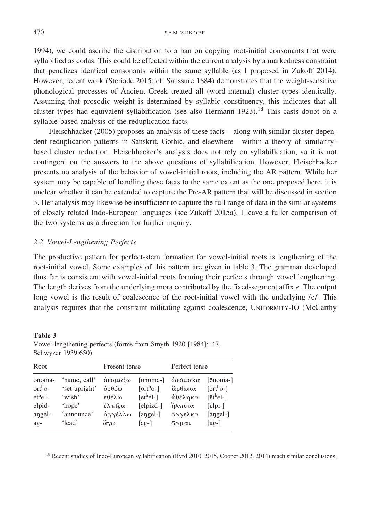1994), we could ascribe the distribution to a ban on copying root-initial consonants that were syllabified as codas. This could be effected within the current analysis by a markedness constraint that penalizes identical consonants within the same syllable (as I proposed in Zukoff 2014). However, recent work (Steriade 2015; cf. Saussure 1884) demonstrates that the weight-sensitive phonological processes of Ancient Greek treated all (word-internal) cluster types identically. Assuming that prosodic weight is determined by syllabic constituency, this indicates that all cluster types had equivalent syllabification (see also Hermann  $1923$ ).<sup>18</sup> This casts doubt on a syllable-based analysis of the reduplication facts.

Fleischhacker (2005) proposes an analysis of these facts—along with similar cluster-dependent reduplication patterns in Sanskrit, Gothic, and elsewhere—within a theory of similaritybased cluster reduction. Fleischhacker's analysis does not rely on syllabification, so it is not contingent on the answers to the above questions of syllabification. However, Fleischhacker presents no analysis of the behavior of vowel-initial roots, including the AR pattern. While her system may be capable of handling these facts to the same extent as the one proposed here, it is unclear whether it can be extended to capture the Pre-AR pattern that will be discussed in section 3. Her analysis may likewise be insufficient to capture the full range of data in the similar systems of closely related Indo-European languages (see Zukoff 2015a). I leave a fuller comparison of the two systems as a direction for further inquiry.

#### *2.2 Vowel-Lengthening Perfects*

The productive pattern for perfect-stem formation for vowel-initial roots is lengthening of the root-initial vowel. Some examples of this pattern are given in table 3. The grammar developed thus far is consistent with vowel-initial roots forming their perfects through vowel lengthening. The length derives from the underlying mora contributed by the fixed-segment affix *e*. The output long vowel is the result of coalescence of the root-initial vowel with the underlying /e/. This analysis requires that the constraint militating against coalescence, UNIFORMITY-IO (McCarthy

| Root                                       |                         | Present tense           |                          | Perfect tense     |                                              |
|--------------------------------------------|-------------------------|-------------------------|--------------------------|-------------------|----------------------------------------------|
| onoma-                                     | 'name, call'            | όνομάζω                 |                          | [onoma-] ώνόμακα  | $\lceil\overline{5}noma-\rceil$              |
| $\mathrm{ort}^{\mathrm{h}}$ o-<br>$ethel-$ | 'set upright'<br>'wish' | $\dot{\omega}$<br>έθέλω | $[ortho-]$<br>$[ethel-]$ | ώρθωκα<br>ήθέληκα | $\lceil 5$ rt <sup>h</sup> o-]<br>$[ēthel-]$ |

angel- 'announce' άγγέλλω [angel-] αγγελκα [āngel-]

elpid- 'hope'  $\hat{\epsilon} \lambda \pi \zeta \omega$  [elpizd-]

ag- 'lead' άγω

**Table 3** Vowel-lengthening perfects (forms from Smyth 1920 [1984]:147, Schwyzer 1939:650)

<sup>18</sup> Recent studies of Indo-European syllabification (Byrd 2010, 2015, Cooper 2012, 2014) reach similar conclusions.

 $[ag-]$   $\bar{\alpha} \gamma \mu \alpha \iota$   $[\bar{a}g-]$ 

 $\eta$ λπικα [<mark>ɛ</mark>lpi-]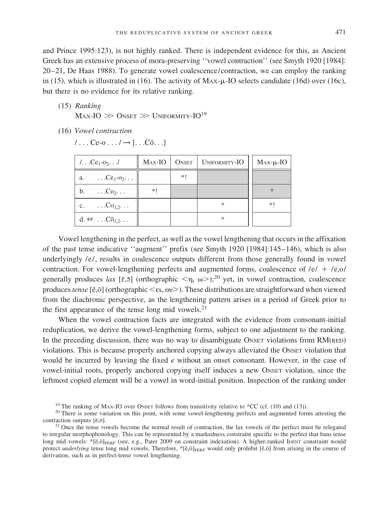and Prince 1995:123), is not highly ranked. There is independent evidence for this, as Ancient Greek has an extensive process of mora-preserving ''vowel contraction'' (see Smyth 1920 [1984]: 20–21, De Haas 1988). To generate vowel coalescence/contraction, we can employ the ranking in (15), which is illustrated in (16). The activity of  $\text{Max-}\mu$ -IO selects candidate (16d) over (16c), but there is no evidence for its relative ranking.

(15) *Ranking*

 $\text{Max-IO}\gg\text{O}$ nset  $\gg\text{Uniformity-IO}^{19}$ 

(16) *Vowel contraction*

 $/ \ldots$  Ce-o  $\ldots$  /  $\rightarrow$  [ $\ldots$  Co.  $\ldots$ ]

| $1.$ $Ce1$ -0 <sub>2</sub> $\ldots$         | Max-IO |      | ONSET   UNIFORMITY-IO | $Max-\mu$ -IO |
|---------------------------------------------|--------|------|-----------------------|---------------|
| a. $\ldots$ Ce <sub>1</sub> -0 <sub>2</sub> |        | $*!$ |                       |               |
| b. $\ldots$ Co <sub>2</sub>                 | *!     |      |                       | $\ast$        |
| c. $\ldots$ Co <sub>1.2</sub>               |        |      | $\ast$                | $*!$          |
| d. $\mathbb{R}$ $C\overline{o}_{1,2}$       |        |      | *                     |               |

Vowel lengthening in the perfect, as well as the vowel lengthening that occurs in the affixation of the past tense indicative ''augment'' prefix (see Smyth 1920 [1984]:145–146), which is also underlyingly /e/, results in coalescence outputs different from those generally found in vowel contraction. For vowel-lengthening perfects and augmented forms, coalescence of  $/e$  /  $+$  /e,o/ generally produces lax [ $\bar{\epsilon}$ , $\bar{\delta}$ ] (orthographic  $\langle \eta, \omega \rangle$ ;<sup>20</sup> yet, in vowel contraction, coalescence produces tense [ē,ō] (orthographic <  $\varepsilon t$ , ov > ). These distributions are straightforward when viewed from the diachronic perspective, as the lengthening pattern arises in a period of Greek prior to the first appearance of the tense long mid vowels. $21$ 

When the vowel contraction facts are integrated with the evidence from consonant-initial reduplication, we derive the vowel-lengthening forms, subject to one adjustment to the ranking. In the preceding discussion, there was no way to disambiguate ONSET violations from RM(RED) violations. This is because properly anchored copying always alleviated the ONSET violation that would be incurred by leaving the fixed *e* without an onset consonant. However, in the case of vowel-initial roots, properly anchored copying itself induces a new ONSET violation, since the leftmost copied element will be a vowel in word-initial position. Inspection of the ranking under

<sup>&</sup>lt;sup>19</sup> The ranking of MAX-IO over ONSET follows from transitivity relative to \*CC (cf. (10) and (13)). <sup>20</sup> There is some variation on this point, with some vowel-lengthening perfects and augmented forms attesting the contr

 $21$  Once the tense vowels become the normal result of contraction, the lax vowels of the perfect must be relegated to irregular morphophonology. This can be represented by a markedness constraint specific to the perfect that bans tense long mid vowels:  $\mathcal{F}[\bar{e},\bar{o}]_{PERF}$  (see, e.g., Pater 2009 on constraint indexation). A higher-ranked IDENT constraint would protect *underlying* tense long mid vowels. Therefore, \*[ē,ō]<sub>PERF</sub> would only prohibit [ē,ō] from arising in the course of derivation, such as in perfect-tense vowel lengthening.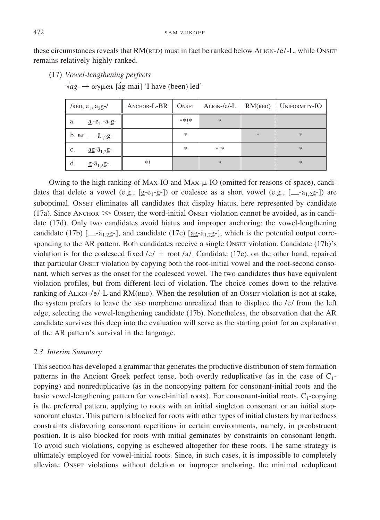these circumstances reveals that RM(RED) must in fact be ranked below ALIGN-/e/-L, while ONSET remains relatively highly ranked.

(17) *Vowel-lengthening perfects*

 $\sqrt{ag}$  →  $\bar{\alpha}$ γμαι [ãg-mai] 'I have (been) led'

| /RED, $e_1$ , $a_2g$ -/                                 | ANCHOR-L-BR | <b>ONSET</b> |        |        | $ALIGN-/e/-L$   $RM(RED)$   UNIFORMITY-IO |
|---------------------------------------------------------|-------------|--------------|--------|--------|-------------------------------------------|
| $a - e_1 - a_2g -$<br>a.                                |             | **  *        | $\ast$ |        |                                           |
| b. $\sqrt{w}$ $\frac{1}{2}$ $\sqrt{a}_{1,2}$ $\sqrt{g}$ |             | *            |        | $\ast$ | $\ast$                                    |
| $\underline{ag}$ - $\overline{a}_{1,2}$ g-<br>c.        |             | ∗            | *   *  |        | $\ast$                                    |
| d.<br>$g - \bar{a}_{1,2}g -$                            | $*!$        |              | $\ast$ |        | $*$                                       |

Owing to the high ranking of MAX-IO and MAX- $\mu$ -IO (omitted for reasons of space), candidates that delete a vowel (e.g.,  $[g-e_1-g-]$ ) or coalesce as a short vowel (e.g.,  $[$ <sub>-a1,2</sub>g-]) are suboptimal. ONSET eliminates all candidates that display hiatus, here represented by candidate (17a). Since ANCHOR  $\gg$  ONSET, the word-initial ONSET violation cannot be avoided, as in candidate (17d). Only two candidates avoid hiatus and improper anchoring: the vowel-lengthening candidate (17b)  $\left[\_\text{a=1,2g-}\right]$ , and candidate (17c)  $\left[\underset{\text{ag=1,2g-}}{\text{ag=1,2g-}}\right]$ , which is the potential output corresponding to the AR pattern. Both candidates receive a single ONSET violation. Candidate (17b)'s violation is for the coalesced fixed  $/e/ +$  root  $\lambda a$ . Candidate (17c), on the other hand, repaired that particular ONSET violation by copying both the root-initial vowel and the root-second consonant, which serves as the onset for the coalesced vowel. The two candidates thus have equivalent violation profiles, but from different loci of violation. The choice comes down to the relative ranking of ALIGN-/e/-L and RM(RED). When the resolution of an ONSET violation is not at stake, the system prefers to leave the RED morpheme unrealized than to displace the  $/e$  from the left edge, selecting the vowel-lengthening candidate (17b). Nonetheless, the observation that the AR candidate survives this deep into the evaluation will serve as the starting point for an explanation of the AR pattern's survival in the language.

## *2.3 Interim Summary*

This section has developed a grammar that generates the productive distribution of stem formation patterns in the Ancient Greek perfect tense, both overtly reduplicative (as in the case of  $C_1$ copying) and nonreduplicative (as in the noncopying pattern for consonant-initial roots and the basic vowel-lengthening pattern for vowel-initial roots). For consonant-initial roots,  $C_1$ -copying is the preferred pattern, applying to roots with an initial singleton consonant or an initial stopsonorant cluster. This pattern is blocked for roots with other types of initial clusters by markedness constraints disfavoring consonant repetitions in certain environments, namely, in preobstruent position. It is also blocked for roots with initial geminates by constraints on consonant length. To avoid such violations, copying is eschewed altogether for these roots. The same strategy is ultimately employed for vowel-initial roots. Since, in such cases, it is impossible to completely alleviate ONSET violations without deletion or improper anchoring, the minimal reduplicant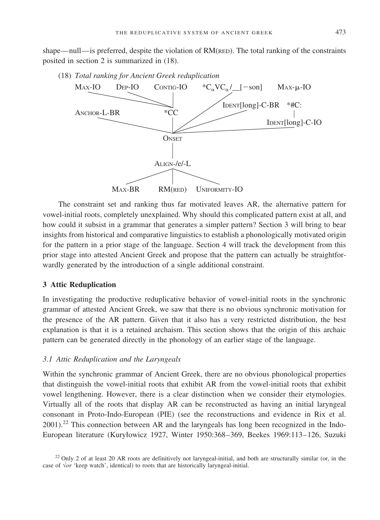shape—null—is preferred, despite the violation of RM(RED). The total ranking of the constraints posited in section 2 is summarized in (18).

(18) *Total ranking for Ancient Greek reduplication*



The constraint set and ranking thus far motivated leaves AR, the alternative pattern for vowel-initial roots, completely unexplained. Why should this complicated pattern exist at all, and how could it subsist in a grammar that generates a simpler pattern? Section 3 will bring to bear insights from historical and comparative linguistics to establish a phonologically motivated origin for the pattern in a prior stage of the language. Section 4 will track the development from this prior stage into attested Ancient Greek and propose that the pattern can actually be straightforwardly generated by the introduction of a single additional constraint.

#### **3 Attic Reduplication**

In investigating the productive reduplicative behavior of vowel-initial roots in the synchronic grammar of attested Ancient Greek, we saw that there is no obvious synchronic motivation for the presence of the AR pattern. Given that it also has a very restricted distribution, the best explanation is that it is a retained archaism. This section shows that the origin of this archaic pattern can be generated directly in the phonology of an earlier stage of the language.

# *3.1 Attic Reduplication and the Laryngeals*

Within the synchronic grammar of Ancient Greek, there are no obvious phonological properties that distinguish the vowel-initial roots that exhibit AR from the vowel-initial roots that exhibit vowel lengthening. However, there is a clear distinction when we consider their etymologies. Virtually all of the roots that display AR can be reconstructed as having an initial laryngeal consonant in Proto-Indo-European (PIE) (see the reconstructions and evidence in Rix et al. 2001).<sup>22</sup> This connection between AR and the laryngeals has long been recognized in the Indo-European literature (KuryØowicz 1927, Winter 1950:368–369, Beekes 1969:113–126, Suzuki

 $22$  Only 2 of at least 20 AR roots are definitively not laryngeal-initial, and both are structurally similar (or, in the case of √*or* 'keep watch', identical) to roots that are historically laryngeal-initial.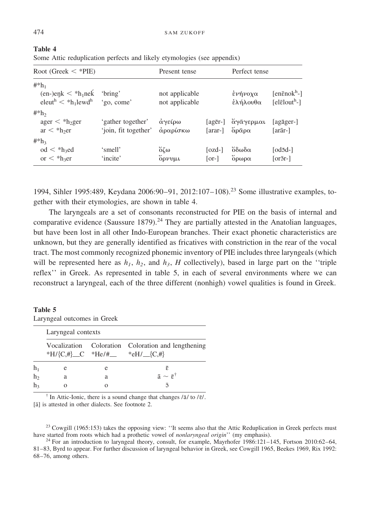| Root (Greek $\lt^*$ PIE)                                                                        |                                           | Present tense                    |                                       | Perfect tense       |                                                                              |
|-------------------------------------------------------------------------------------------------|-------------------------------------------|----------------------------------|---------------------------------------|---------------------|------------------------------------------------------------------------------|
| $\#^*h_1$<br>$(en-)enk < *h_1nek$<br>eleut <sup>h</sup> $\lt$ *h <sub>1</sub> lewd <sup>h</sup> | 'bring'<br>'go, come'                     | not applicable<br>not applicable |                                       | ένήνοχα<br>έλήλουθα | [en $\bar{\epsilon}$ nok $h$ -]<br>[el $\bar{\epsilon}$ lout <sup>h</sup> -] |
| $\#^*h_2$<br>$ager < *h2ger$<br>$ar < *h2er$                                                    | 'gather together'<br>'join, fit together' | άγείρω<br>άραρίσκω               | agēr-<br>[arar-]                      | άγαγερμαι<br>άραρα  | [agāger-]<br>[arār-]                                                         |
| $\#^*h_3$<br>$\mathrm{od} <$ *h <sub>3</sub> ed<br>or $\langle$ *h <sub>3</sub> er              | 'smell'<br>'incite'                       | όζω<br>δρνυμι                    | $\lceil \text{ozd-}\rceil$<br>$ or- $ | όδωδα<br>δρωρα      | [od5d-]<br>$\lceil$ or5r- $\rceil$                                           |

| 1able 4 |                                                                         |  |
|---------|-------------------------------------------------------------------------|--|
|         | Some Attic reduplication perfects and likely etymologies (see appendix) |  |

1994, Sihler 1995:489, Keydana 2006:90–91, 2012:107–108).<sup>23</sup> Some illustrative examples, together with their etymologies, are shown in table 4.

The laryngeals are a set of consonants reconstructed for PIE on the basis of internal and comparative evidence (Saussure 1879).<sup>24</sup> They are partially attested in the Anatolian languages, but have been lost in all other Indo-European branches. Their exact phonetic characteristics are unknown, but they are generally identified as fricatives with constriction in the rear of the vocal tract. The most commonly recognized phonemic inventory of PIE includes three laryngeals (which will be represented here as  $h_1$ ,  $h_2$ , and  $h_3$ , *H* collectively), based in large part on the "triple" reflex'' in Greek. As represented in table 5, in each of several environments where we can reconstruct a laryngeal, each of the three different (nonhigh) vowel qualities is found in Greek.

#### **Table 5**

Laryngeal outcomes in Greek

|                | Laryngeal contexts            |   |                                                    |  |  |  |  |  |
|----------------|-------------------------------|---|----------------------------------------------------|--|--|--|--|--|
|                | *H/{C,#}_C *He/#__ *eH/_{C,#} |   | Vocalization Coloration Coloration and lengthening |  |  |  |  |  |
| h <sub>1</sub> | е                             | e | Ē.                                                 |  |  |  |  |  |
| h <sub>2</sub> | a                             | а | $\bar{a} \sim \bar{\epsilon}^{\dagger}$            |  |  |  |  |  |
| h <sub>3</sub> |                               |   | ി                                                  |  |  |  |  |  |

<sup>†</sup> In Attic-Ionic, there is a sound change that changes  $/\bar{a}/$  to  $/\bar{\epsilon}/$ . [ $\bar{a}$ ] is attested in other dialects. See footnote 2.

<sup>23</sup> Cowgill (1965:153) takes the opposing view: "It seems also that the Attic Reduplication in Greek perfects must have started from roots which had a prothetic vowel of *nonlaryngeal origin*" (my emphasis).

<sup>24</sup> For an introduction to laryngeal theory, consult, for example, Mayrhofer 1986:121-145, Fortson 2010:62-64, 81–83, Byrd to appear. For further discussion of laryngeal behavior in Greek, see Cowgill 1965, Beekes 1969, Rix 1992: 68–76, among others.

**Table 4**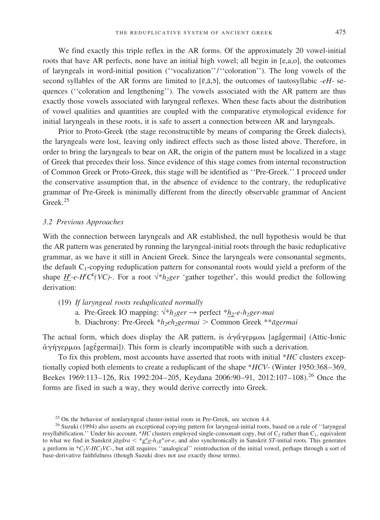We find exactly this triple reflex in the AR forms. Of the approximately 20 vowel-initial roots that have AR perfects, none have an initial high vowel; all begin in [e,a,o], the outcomes of laryngeals in word-initial position (''vocalization''/''coloration''). The long vowels of the second syllables of the AR forms are limited to  $[\bar{\epsilon}, \bar{\alpha}, \bar{\beta}]$ , the outcomes of tautosyllabic -*eH*- sequences (''coloration and lengthening''). The vowels associated with the AR pattern are thus exactly those vowels associated with laryngeal reflexes. When these facts about the distribution of vowel qualities and quantities are coupled with the comparative etymological evidence for initial laryngeals in these roots, it is safe to assert a connection between AR and laryngeals.

Prior to Proto-Greek (the stage reconstructible by means of comparing the Greek dialects), the laryngeals were lost, leaving only indirect effects such as those listed above. Therefore, in order to bring the laryngeals to bear on AR, the origin of the pattern must be localized in a stage of Greek that precedes their loss. Since evidence of this stage comes from internal reconstruction of Common Greek or Proto-Greek, this stage will be identified as ''Pre-Greek.'' I proceed under the conservative assumption that, in the absence of evidence to the contrary, the reduplicative grammar of Pre-Greek is minimally different from the directly observable grammar of Ancient Greek.<sup>25</sup>

#### *3.2 Previous Approaches*

With the connection between laryngeals and AR established, the null hypothesis would be that the AR pattern was generated by running the laryngeal-initial roots through the basic reduplicative grammar, as we have it still in Ancient Greek. Since the laryngeals were consonantal segments, the default  $C_1$ -copying reduplication pattern for consonantal roots would yield a preform of the shape  $\underline{H}^i$ -*e-H<sup>i</sup>C*<sup>*k*</sup>(*VC*)-. For a root  $\sqrt[k]{h_2}$ ger 'gather together', this would predict the following derivation:

- (19) *If laryngeal roots reduplicated normally*
	- a. Pre-Greek IO mapping:  $\sqrt[k]{h_2}$ ger  $\rightarrow$  perfect  $\sqrt[k]{h_2}$ -e-h<sub>2</sub>ger-mai
	- b. Diachrony: Pre-Greek \* $h_2eh_2g$ ermai > Common Greek \*\**āgermai*

The actual form, which does display the AR pattern, is ἀγάγερμαι [agágermai] (Attic-Ionic  $\dot{\alpha}$ γήγερμαι [agέgermai]). This form is clearly incompatible with such a derivation.

To fix this problem, most accounts have asserted that roots with initial \**HC* clusters exceptionally copied both elements to create a reduplicant of the shape \**HCV*- (Winter 1950:368–369, Beekes 1969:113–126, Rix 1992:204–205, Keydana 2006:90–91, 2012:107–108).<sup>26</sup> Once the forms are fixed in such a way, they would derive correctly into Greek.

<sup>&</sup>lt;sup>25</sup> On the behavior of nonlaryngeal cluster-initial roots in Pre-Greek, see section 4.4. <sup>26</sup> Suzuki (1994) also asserts an exceptional copying pattern for laryngeal-initial roots, based on a rule of "laryngeal resyllabification.'' Under his account, \**HC* clusters employed single-consonant copy, but of C<sub>2</sub> rather than C<sub>1</sub>, equivalent to what we find in Sanskrit *jagára*  $\leq$  \*gwe- $h_ig^w$ *or-e*, and also synchronically in Sanskrit *ST*-initial roots. This generates a preform in \**C2V-HC2VC*-, but still requires ''analogical'' reintroduction of the initial vowel, perhaps through a sort of base-derivative faithfulness (though Suzuki does not use exactly those terms).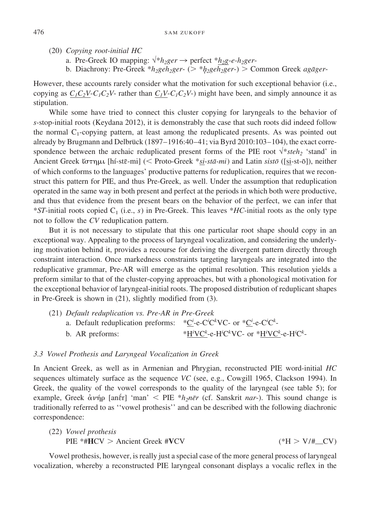- (20) *Copying root-initial HC*
	- a. Pre-Greek IO mapping:  $\sqrt[k]{h_2}$ ger  $\rightarrow$  perfect  $*h_2$ ger-
	- b. Diachrony: Pre-Greek \* $h_2$ ge $h_2$ ger- (> \* $h_2$ ge $h_2$ ger-) > Common Greek *agāger*-

However, these accounts rarely consider what the motivation for such exceptional behavior (i.e., copying as  $C_1C_2V-C_1C_2V$ - rather than  $C_1V-C_1C_2V$ -) might have been, and simply announce it as stipulation.

While some have tried to connect this cluster copying for laryngeals to the behavior of *s*-stop-initial roots (Keydana 2012), it is demonstrably the case that such roots did indeed follow the normal  $C_1$ -copying pattern, at least among the reduplicated presents. As was pointed out already by Brugmann and Delbrück (1897–1916:40–41; via Byrd 2010:103–104), the exact correspondence between the archaic reduplicated present forms of the PIE root  $\sqrt{*}$ *steh<sub>2</sub>* 'stand' in Ancient Greek ίστημι [hí-stē-mi] (< Proto-Greek \*si-stā-mi) and Latin sistō ([si-st-ō]), neither of which conforms to the languages' productive patterns for reduplication, requires that we reconstruct this pattern for PIE, and thus Pre-Greek, as well. Under the assumption that reduplication operated in the same way in both present and perfect at the periods in which both were productive, and thus that evidence from the present bears on the behavior of the perfect, we can infer that \**ST*-initial roots copied  $C_1$  (i.e., *s*) in Pre-Greek. This leaves \**HC*-initial roots as the only type not to follow the *CV* reduplication pattern.

But it is not necessary to stipulate that this one particular root shape should copy in an exceptional way. Appealing to the process of laryngeal vocalization, and considering the underlying motivation behind it, provides a recourse for deriving the divergent pattern directly through constraint interaction. Once markedness constraints targeting laryngeals are integrated into the reduplicative grammar, Pre-AR will emerge as the optimal resolution. This resolution yields a preform similar to that of the cluster-copying approaches, but with a phonological motivation for the exceptional behavior of laryngeal-initial roots. The proposed distribution of reduplicant shapes in Pre-Greek is shown in (21), slightly modified from (3).

(21) *Default reduplication vs. Pre-AR in Pre-Greek* a. Default reduplication preforms:  $C^i e^{-\frac{1}{2} \cdot e^{-\frac{1}{2} \cdot e^{-\frac{1}{2} \cdot e^{-\frac{1}{2} \cdot e^{-\frac{1}{2} \cdot e^{-\frac{1}{2} \cdot e^{-\frac{1}{2} \cdot e^{-\frac{1}{2} \cdot e^{-\frac{1}{2} \cdot e^{-\frac{1}{2} \cdot e^{-\frac{1}{2} \cdot e^{-\frac{1}{2} \cdot e^{-\frac{1}{2} \cdot e^{-\frac{1}{2} \cdot e^{-\frac{1}{2} \cdot e^{-\frac{1}{2} \cdot e^{-\frac{1$ b. AR preforms: VC*<sup>k</sup>* -e-H*<sup>i</sup>* C*k* VC- or \*H*<sup>i</sup>* VC*<sup>k</sup>* -e-H*<sup>i</sup>* C*k* -

#### *3.3 Vowel Prothesis and Laryngeal Vocalization in Greek*

In Ancient Greek, as well as in Armenian and Phrygian, reconstructed PIE word-initial *HC* sequences ultimately surface as the sequence *VC* (see, e.g., Cowgill 1965, Clackson 1994). In Greek, the quality of the vowel corresponds to the quality of the laryngeal (see table 5); for example, Greek ἀνήρ [anḗr] 'man' < PIE \**h<sub>2</sub>nēr* (cf. Sanskrit *nar*-). This sound change is traditionally referred to as ''vowel prothesis'' and can be described with the following diachronic correspondence:

(22) *Vowel prothesis*  
\nPIE 
$$
\ast \text{HICV} > \text{Ancient Greek } \#\text{VCV}
$$
  
\n $(\ast H > V/\text{H}_{\text{C}}\text{CV})$ 

Vowel prothesis, however, is really just a special case of the more general process of laryngeal vocalization, whereby a reconstructed PIE laryngeal consonant displays a vocalic reflex in the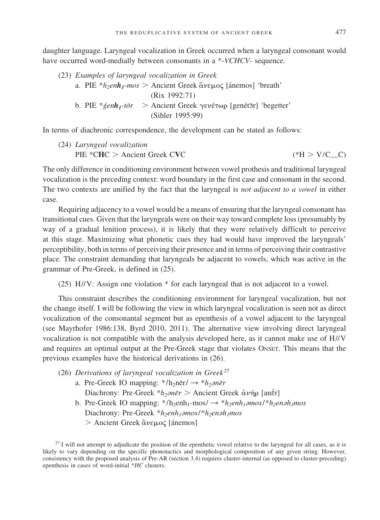daughter language. Laryngeal vocalization in Greek occurred when a laryngeal consonant would have occurred word-medially between consonants in a \*-*VCHCV*- sequence.

(23) *Examples of laryngeal vocalization in Greek* a. PIE  $*h_2enh_1-mos$  > Ancient Greek  $\check{\alpha} \nu \in \mu \circ \varsigma$  [ánemos] 'breath' (Rix 1992:71) b. PIE \* g´enh<sub>1</sub>-tōr > Ancient Greek γενέτωρ [genétōr] 'begetter' (Sihler 1995:99)

In terms of diachronic correspondence, the development can be stated as follows:

(24) *Laryngeal vocalization* PIE \*CHC > Ancient Greek CVC (\*H >  $(*H > V/C_C)$ 

The only difference in conditioning environment between vowel prothesis and traditional laryngeal vocalization is the preceding context: word boundary in the first case and consonant in the second. The two contexts are unified by the fact that the laryngeal is *not adjacent to a vowel* in either case.

Requiring adjacency to a vowel would be a means of ensuring that the laryngeal consonant has transitional cues. Given that the laryngeals were on their way toward complete loss (presumably by way of a gradual lenition process), it is likely that they were relatively difficult to perceive at this stage. Maximizing what phonetic cues they had would have improved the laryngeals' perceptibility, both in terms of perceiving their presence and in terms of perceiving their contrastive place. The constraint demanding that laryngeals be adjacent to vowels, which was active in the grammar of Pre-Greek, is defined in (25).

(25) H//V: Assign one violation \* for each laryngeal that is not adjacent to a vowel.

This constraint describes the conditioning environment for laryngeal vocalization, but not the change itself. I will be following the view in which laryngeal vocalization is seen not as direct vocalization of the consonantal segment but as epenthesis of a vowel adjacent to the laryngeal (see Mayrhofer 1986:138, Byrd 2010, 2011). The alternative view involving direct laryngeal vocalization is not compatible with the analysis developed here, as it cannot make use of H//V and requires an optimal output at the Pre-Greek stage that violates ONSET. This means that the previous examples have the historical derivations in (26).

- (26) *Derivations of laryngeal vocalization in Greek*<sup>27</sup>
	- a. Pre-Greek IO mapping:  $* / h_2 n \bar{e}r / \rightarrow * h_2 \partial n \bar{e}r$ Diachrony: Pre-Greek \**h<sub>2</sub>anēr* > Ancient Greek ἀνήρ [anḗr] b. Pre-Greek IO mapping:  $*/\text{h}_2$ enh<sub>1</sub>-mos/  $\rightarrow *h_2eh_1\text{p}_1\text{p}_2$ en $h_1\text{p}_2$ en $h_1\text{p}_2$
	- Diachrony: Pre-Greek \**h<sub>2</sub>enh<sub>1</sub></sub>mos*/\**h<sub>2</sub>enah<sub>1</sub>mos* > Ancient Greek ἄνεμος [ánemos]

 $27$  I will not attempt to adjudicate the position of the epenthetic vowel relative to the laryngeal for all cases, as it is likely to vary depending on the specific phonotactics and morphological composition of any given string. However, consistency with the proposed analysis of Pre-AR (section 3.4) requires cluster-internal (as opposed to cluster-preceding) epenthesis in cases of word-initial \**HC* clusters.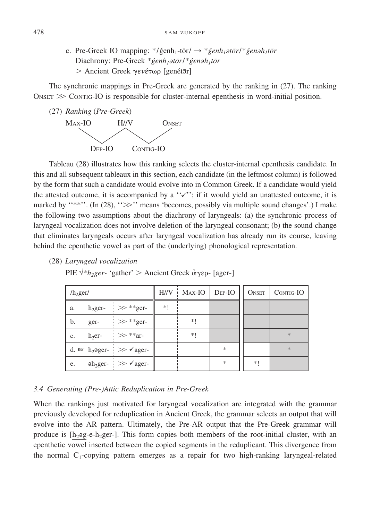c. Pre-Greek IO mapping:  $*/\mathrm{genh}_{1}$ -tōr/  $\rightarrow$   $* \mathrm{genh}_{1}$ *atōr*/ $* \mathrm{genh}_{1}$ tōr Diachrony: Pre-Greek \**genh<sub>1</sub>at*or/\*genah<sub>1</sub>tor</sub> > Ancient Greek γενέτωρ [genét5r]

The synchronic mappings in Pre-Greek are generated by the ranking in (27). The ranking  $\Delta$ ONSET  $\gg$  Contros-IO is responsible for cluster-internal epenthesis in word-initial position.



Tableau (28) illustrates how this ranking selects the cluster-internal epenthesis candidate. In this and all subsequent tableaux in this section, each candidate (in the leftmost column) is followed by the form that such a candidate would evolve into in Common Greek. If a candidate would yield the attested outcome, it is accompanied by a  $\lq \lq \lq \lq \lq \lq \lq \lq \lq$  an unattested outcome, it is marked by "\*\*''. (In  $(28)$ , " $\gg$ " means 'becomes, possibly via multiple sound changes'.) I make the following two assumptions about the diachrony of laryngeals: (a) the synchronic process of laryngeal vocalization does not involve deletion of the laryngeal consonant; (b) the sound change that eliminates laryngeals occurs after laryngeal vocalization has already run its course, leaving behind the epenthetic vowel as part of the (underlying) phonological representation.

(28) *Laryngeal vocalization*

PIE √<sup>\*</sup>*h<sub>2</sub>ger-* 'gather' > Ancient Greek ἀγερ- [ager-]

| $/h_2$ ger/ |      |                                                                       |    | $H//V$ MAX-IO DEP-IO |   | ONSET | CONTIG-IO |
|-------------|------|-----------------------------------------------------------------------|----|----------------------|---|-------|-----------|
| a.          |      | $h_2$ ger- $\Rightarrow$ **ger-                                       | *! |                      |   |       |           |
| b.          | ger- | $\Rightarrow$ **ger-                                                  |    | *!                   |   |       |           |
| c.          |      | $h_2$ er- $\Rightarrow$ **ar-                                         |    | *!                   |   |       | $*$       |
|             |      | d. $\mathbb{F}$ h <sub>2</sub> ager- $\Rightarrow$ $\checkmark$ ager- |    |                      | * |       | $\ast$    |
| e.          |      | $\Delta$ <sub>2</sub> ger- $\Rightarrow$ $\angle$ ager-               |    |                      | * | $*!$  |           |

#### *3.4 Generating (Pre-)Attic Reduplication in Pre-Greek*

When the rankings just motivated for laryngeal vocalization are integrated with the grammar previously developed for reduplication in Ancient Greek, the grammar selects an output that will evolve into the AR pattern. Ultimately, the Pre-AR output that the Pre-Greek grammar will produce is  $[h_29g-e-h_2ger-l]$ . This form copies both members of the root-initial cluster, with an epenthetic vowel inserted between the copied segments in the reduplicant. This divergence from the normal  $C_1$ -copying pattern emerges as a repair for two high-ranking laryngeal-related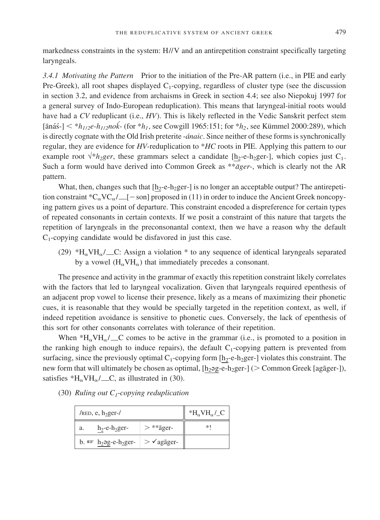markedness constraints in the system: H//V and an antirepetition constraint specifically targeting laryngeals.

*3.4.1 Motivating the Pattern* Prior to the initiation of the Pre-AR pattern (i.e., in PIE and early Pre-Greek), all root shapes displayed  $C_1$ -copying, regardless of cluster type (see the discussion in section 3.2, and evidence from archaisms in Greek in section 4.4; see also Niepokuj 1997 for a general survey of Indo-European reduplication). This means that laryngeal-initial roots would have had a *CV* reduplicant (i.e., *HV*). This is likely reflected in the Vedic Sanskrit perfect stem  $[\text{anás-}]$   $\lt$   $*$ *h<sub>1/2</sub>e-h<sub>1/2</sub>nok*<sup>-</sup> (for  $*$ *h<sub>1</sub>*, see Cowgill 1965:151; for  $*$ *h<sub>2</sub>*, see Kümmel 2000:289), which is directly cognate with the Old Irish preterite -*ánaic*. Since neither of these forms is synchronically regular, they are evidence for *HV*-reduplication to \**HC* roots in PIE. Applying this pattern to our example root  $\sqrt[k]{h_2ger}$ , these grammars select a candidate [h<sub>2</sub>-e-h<sub>2</sub>ger-], which copies just C<sub>1</sub>. Such a form would have derived into Common Greek as \*\**āger*-, which is clearly not the AR pattern.

What, then, changes such that  $[\underline{h_2-e}, \underline{h_2ger}]$  is no longer an acceptable output? The antirepetition constraint \*C<sub> $\alpha$ </sub>VC $\alpha$  / [- son] proposed in (11) in order to induce the Ancient Greek noncopying pattern gives us a point of departure. This constraint encoded a dispreference for certain types of repeated consonants in certain contexts. If we posit a constraint of this nature that targets the repetition of laryngeals in the preconsonantal context, then we have a reason why the default  $C_1$ -copying candidate would be disfavored in just this case.

(29) \*H<sub>a</sub>VH<sub>a</sub>/ C: Assign a violation \* to any sequence of identical laryngeals separated by a vowel  $(H_{\alpha}VH_{\alpha})$  that immediately precedes a consonant.

The presence and activity in the grammar of exactly this repetition constraint likely correlates with the factors that led to laryngeal vocalization. Given that laryngeals required epenthesis of an adjacent prop vowel to license their presence, likely as a means of maximizing their phonetic cues, it is reasonable that they would be specially targeted in the repetition context, as well, if indeed repetition avoidance is sensitive to phonetic cues. Conversely, the lack of epenthesis of this sort for other consonants correlates with tolerance of their repetition.

When  $*H_{\alpha}VH_{\alpha}/\_{\alpha}C$  comes to be active in the grammar (i.e., is promoted to a position in the ranking high enough to induce repairs), the default  $C_1$ -copying pattern is prevented from surfacing, since the previously optimal  $C_1$ -copying form  $[h_2-e-h_2]$  violates this constraint. The new form that will ultimately be chosen as optimal,  $[\underline{h_2 \cdot g_2} - \underline{h_2 g_1}]$  (> Common Greek [aga $\underline{g}$ er-]), satisfies \*H<sub> $\alpha$ </sub>VH $_{\alpha}$ / \_\_C, as illustrated in (30).

| $/$ RED, e, h <sub>2</sub> ger- $/$                                                 | $*H_{\alpha}VH_{\alpha}/C$ |    |
|-------------------------------------------------------------------------------------|----------------------------|----|
| $h_2$ -e- $h_2$ ger-<br>a.                                                          | $\frac{1}{2}$ > **ager-    | *1 |
| b. $\mathbb{R}$ h <sub>2</sub> əg-e-h <sub>2</sub> ger- $\geq$ $\checkmark$ agager- |                            |    |

(30) *Ruling out C1*-*copying reduplication*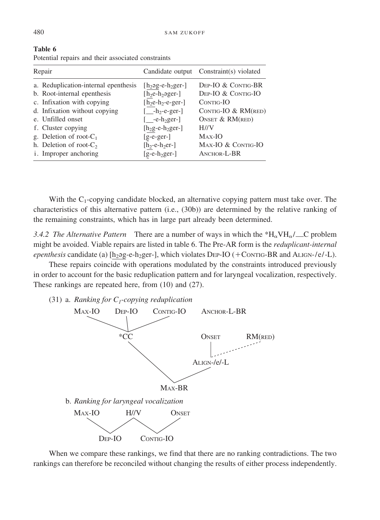| Repair                               |                             | Candidate output Constraint(s) violated |
|--------------------------------------|-----------------------------|-----------------------------------------|
| a. Reduplication-internal epenthesis | $[h_2$ ag-e- $h_2$ ger- $]$ | DEP-IO & CONTIG-BR                      |
| b. Root-internal epenthesis          | $[h_2e-h_2 \text{ager-}]$   | DEP-IO & CONTIG-IO                      |
| c. Infixation with copying           | $[h2e-h2-e-ger-]$           | CONTIG-IO                               |
| d. Infixation without copying        | $[-h2 - e2er1]$             | CONTIG-IO $&$ RM(RED)                   |
| e. Unfilled onset                    | $[-e-h_2\text{ger-}]$       | ONSET $& RM(\text{red})$                |
| f. Cluster copying                   | $[h2g-e-h2ger-]$            | $H/\!/V$                                |
| g. Deletion of root- $C_1$           | $[g-e-ger-]$                | $Max-IO$                                |
| h. Deletion of root- $C_2$           | $[h_2-e-h_2er-]$            | MAX-IO & CONTIG-IO                      |
| <i>i</i> . Improper anchoring        | $[g-e-h2ger-]$              | ANCHOR-L-BR                             |

**Table 6**

|  |  |  |  |  | Potential repairs and their associated constraints |
|--|--|--|--|--|----------------------------------------------------|
|--|--|--|--|--|----------------------------------------------------|

With the  $C_1$ -copying candidate blocked, an alternative copying pattern must take over. The characteristics of this alternative pattern (i.e., (30b)) are determined by the relative ranking of the remaining constraints, which has in large part already been determined.

*3.4.2 The Alternative Pattern* There are a number of ways in which the  $*H_{\alpha}VH_{\alpha}/\_{\alpha}C$  problem might be avoided. Viable repairs are listed in table 6. The Pre-AR form is the *reduplicant-internal epenthesis* candidate (a)  $[h_2oge-h_2ger-l]$ , which violates DEP-IO (+CONTIG-BR and ALIGN-/e/-L).

These repairs coincide with operations modulated by the constraints introduced previously in order to account for the basic reduplication pattern and for laryngeal vocalization, respectively. These rankings are repeated here, from (10) and (27).

(31) a. *Ranking for*  $C_1$ *-copying reduplication* 



When we compare these rankings, we find that there are no ranking contradictions. The two rankings can therefore be reconciled without changing the results of either process independently.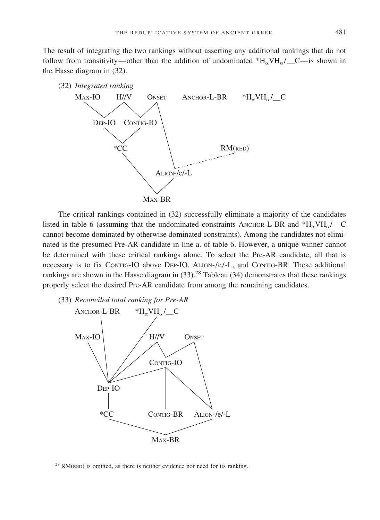The result of integrating the two rankings without asserting any additional rankings that do not follow from transitivity—other than the addition of undominated  $H_{\alpha}VH_{\alpha}/C$ —is shown in the Hasse diagram in (32).



The critical rankings contained in (32) successfully eliminate a majority of the candidates listed in table 6 (assuming that the undominated constraints ANCHOR-L-BR and  $H_VVH_V/\_\_\text{C}$ cannot become dominated by otherwise dominated constraints). Among the candidates not eliminated is the presumed Pre-AR candidate in line a. of table 6. However, a unique winner cannot be determined with these critical rankings alone. To select the Pre-AR candidate, all that is necessary is to fix CONTIG-IO above DEP-IO, ALIGN-/e/-L, and CONTIG-BR. These additional rankings are shown in the Hasse diagram in  $(33)$ .<sup>28</sup> Tableau  $(34)$  demonstrates that these rankings properly select the desired Pre-AR candidate from among the remaining candidates.

(33) *Reconciled total ranking for Pre-AR*



 $28$  RM(RED) is omitted, as there is neither evidence nor need for its ranking.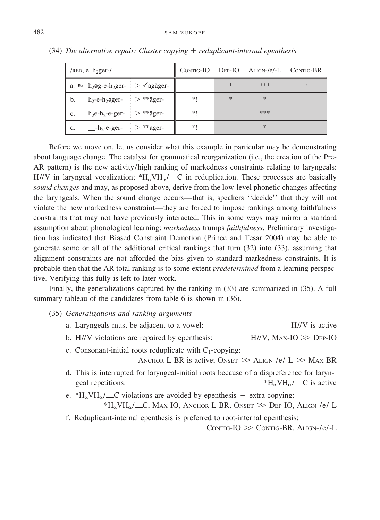| $/$ RED, e, h <sub>2</sub> ger- $/$ |                                                       |                                                                                  |      |     | $CONTIG-IO$ $DEF-IO$ $ALIGN-/e/-L$ $CONTIG-BR$ |        |
|-------------------------------------|-------------------------------------------------------|----------------------------------------------------------------------------------|------|-----|------------------------------------------------|--------|
|                                     |                                                       | a. $\mathbb{R}$ h <sub>2</sub> əg-e-h <sub>2</sub> ger- $>$ $\checkmark$ agager- |      | $*$ | ***                                            | $\ast$ |
| b.                                  | $h_2$ -e- $h_2$ əger- $\Rightarrow$ ** $\bar{a}$ ger- |                                                                                  | $*!$ | $*$ | $\ast$                                         |        |
| c.                                  | $h_2$ e-h <sub>2</sub> -e-ger- $\Rightarrow$ **ager-  |                                                                                  | *1   |     | ***                                            |        |
| d.                                  | $-h_2$ -e-ger- $\Rightarrow$ **ager-                  |                                                                                  | *1   |     | *                                              |        |

(34) *The alternative repair: Cluster copying reduplicant-internal epenthesis*

Before we move on, let us consider what this example in particular may be demonstrating about language change. The catalyst for grammatical reorganization (i.e., the creation of the Pre-AR pattern) is the new activity/high ranking of markedness constraints relating to laryngeals:  $H//V$  in laryngeal vocalization;  $H_V/H_V$  C in reduplication. These processes are basically *sound changes* and may, as proposed above, derive from the low-level phonetic changes affecting the laryngeals. When the sound change occurs—that is, speakers ''decide'' that they will not violate the new markedness constraint—they are forced to impose rankings among faithfulness constraints that may not have previously interacted. This in some ways may mirror a standard assumption about phonological learning: *markedness* trumps *faithfulness*. Preliminary investigation has indicated that Biased Constraint Demotion (Prince and Tesar 2004) may be able to generate some or all of the additional critical rankings that turn (32) into (33), assuming that alignment constraints are not afforded the bias given to standard markedness constraints. It is probable then that the AR total ranking is to some extent *predetermined* from a learning perspective. Verifying this fully is left to later work.

Finally, the generalizations captured by the ranking in (33) are summarized in (35). A full summary tableau of the candidates from table 6 is shown in (36).

- (35) *Generalizations and ranking arguments*
	- a. Laryngeals must be adjacent to a vowel: H//V is active
	- b. H//V violations are repaired by epenthesis:  $\gg$  Dep-IO
	- c. Consonant-initial roots reduplicate with  $C_1$ -copying:

ANCHOR-L-BR is active; ONSET  $\gg$  ALIGN-/e/-L  $\gg$  MAX-BR

- d. This is interrupted for laryngeal-initial roots because of a dispreference for laryngeal repetitions:  $*H_{\alpha}VH_{\alpha}/\text{C}$  is active
- e. \*H<sub>a</sub>VH<sub>a</sub>/ C violations are avoided by epenthesis + extra copying:  $H_{\alpha}VH_{\alpha}/\gamma$ C, Max-IO, Anchor-L-BR, Onset  $\gg$  Dep-IO, Align-/e/-L
- f. Reduplicant-internal epenthesis is preferred to root-internal epenthesis:

 $CONTIG-IO \gg ConTiG-BR, ALIGN-/e/-L$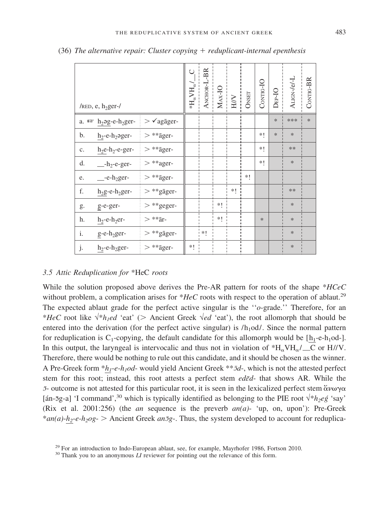| / $RED$ , e, h <sub>2</sub> ger-/                       |                          | Ō<br>${}^{\ast}\mathrm{H}_{\alpha}^{\phantom{\dag}}$ V $\mathrm{H}_{\alpha}^{\phantom{\dag}}$ | ANCHOR-L-BR | $MAX-IO$ | $\overline{\mathrm{HH}}$ | ONSET | CONTIG-IO | $DEP-IO$ | ALIGN-/e/-L | CONTIG-BR |
|---------------------------------------------------------|--------------------------|-----------------------------------------------------------------------------------------------|-------------|----------|--------------------------|-------|-----------|----------|-------------|-----------|
| a. $\mathbb{F}$ h <sub>2</sub> 2g-e-h <sub>2</sub> ger- | $> \sqrt{a}$ gāger-      |                                                                                               |             |          |                          |       |           | $\ast$   | ***         | $\ast$    |
| b.<br>$h_2$ -e- $h_2$ əger-                             | $> **{\rm \bar{a}ger}$ - |                                                                                               |             |          |                          |       | *1        | $\ast$   | $\ast$      |           |
| $h_2$ e- $h_2$ -e-ger-<br>c.                            | $> ** \bar{\text{ager}}$ |                                                                                               |             |          |                          |       | *1        |          | **          |           |
| d.<br>$-h_2$ -e-ger-                                    | $>$ **ager-              |                                                                                               |             |          |                          |       | *1        |          | $\ast$      |           |
| $e$ -e-h <sub>2</sub> ger-<br>e.                        | $> **{\rm \bar{a}ger}$   |                                                                                               |             |          |                          | *!    |           |          |             |           |
| f.<br>$h_2g$ -e- $h_2g$ er-                             | $>$ **<br>gāger-         |                                                                                               |             |          | *!                       |       |           |          | **          |           |
| g-e-ger-<br>g.                                          | $>$<br>**geger-          |                                                                                               |             | $*!$     |                          |       |           |          | $\ast$      |           |
| h.<br>$h_2$ -e- $h_2$ er-                               | $>**\bar{a}r-$           |                                                                                               |             | *1       |                          |       | $\ast$    |          | $\ast$      |           |
| i.<br>$g$ -e-h <sub>2</sub> ger-                        | $>$ **gāger-             |                                                                                               | *!          |          |                          |       |           |          | $\ast$      |           |
| j.<br>$h_2$ -e- $h_2$ ger-                              | $> ** \bar{\text{ager}}$ | *!                                                                                            |             |          |                          |       |           |          | $\ast$      |           |

(36) *The alternative repair: Cluster copying reduplicant-internal epenthesis*

#### *3.5 Attic Reduplication for* \*HeC *roots*

While the solution proposed above derives the Pre-AR pattern for roots of the shape \**HCeC* without problem, a complication arises for  $*HeC$  roots with respect to the operation of ablaut.<sup>29</sup> The expected ablaut grade for the perfect active singular is the ''*o*-grade.'' Therefore, for an \**HeC* root like √\**h<sub>1</sub>ed* 'eat' (> Ancient Greek √*ed* 'eat'), the root allomorph that should be entered into the derivation (for the perfect active singular) is  $/h<sub>1</sub>od/$ . Since the normal pattern for reduplication is  $C_1$ -copying, the default candidate for this allomorph would be  $[h_1-e-h_1od]$ . In this output, the laryngeal is intervocalic and thus not in violation of  $H_0VH_0/\_\_\mathbb{C}C$  or H//V. Therefore, there would be nothing to rule out this candidate, and it should be chosen as the winner. A Pre-Greek form \**h1*-*e-h1od*- would yield Ancient Greek \*\**:¯d*-, which is not the attested perfect stem for this root; instead, this root attests a perfect stem *ed* $\bar{\epsilon}d$ - that shows AR. While the  $\bar{z}$ - outcome is not attested for this particular root, it is seen in the lexicalized perfect stem ἄνωγα [án-5g-a] 'I command',<sup>30</sup> which is typically identified as belonging to the PIE root  $\sqrt{k_1}$ eg´ 'say' (Rix et al. 2001:256) (the *an* sequence is the preverb *an(a)*- 'up, on, upon'): Pre-Greek \* $an(a)$ - $h_2$ - $e$ - $h_2$ *og*- > Ancient Greek  $an\overline{a}g$ -. Thus, the system developed to account for reduplica-

<sup>&</sup>lt;sup>29</sup> For an introduction to Indo-European ablaut, see, for example, Mayrhofer 1986, Fortson 2010.<br><sup>30</sup> Thank you to an anonymous *LI* reviewer for pointing out the relevance of this form.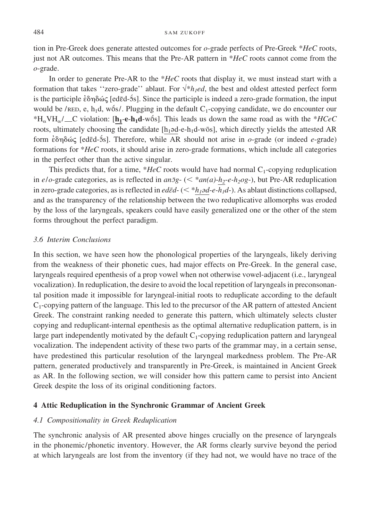#### 484 SAM ZUKOFF

tion in Pre-Greek does generate attested outcomes for *o*-grade perfects of Pre-Greek \**HeC* roots, just not AR outcomes. This means that the Pre-AR pattern in \**HeC* roots cannot come from the *o*-grade.

In order to generate Pre-AR to the \**HeC* roots that display it, we must instead start with a formation that takes "zero-grade" ablaut. For  $\sqrt{*}h_{1}$ ed, the best and oldest attested perfect form is the participle έδηδώς [edēd-5s]. Since the participle is indeed a zero-grade formation, the input would be /RED, e,  $h_1d$ , wo $\delta s$ /. Plugging in the default C<sub>1</sub>-copying candidate, we do encounter our \* $H_{\alpha}VH_{\alpha}/\text{C}$  violation: [ $\underline{h}_1$ - $e$ - $h_1d$ -wo $\overline{s}$ ]. This leads us down the same road as with the \**HCeC* roots, ultimately choosing the candidate  $[h_1\triangleleft d-e-h_1d-w\overline{o}s]$ , which directly yields the attested AR form εδηδώς [edēd-5s]. Therefore, while AR should not arise in *o*-grade (or indeed *e*-grade) formations for \**HeC* roots, it should arise in zero-grade formations, which include all categories in the perfect other than the active singular.

This predicts that, for a time,  $*HeC$  roots would have had normal  $C_1$ -copying reduplication in  $e$ / $o$ -grade categories, as is reflected in  $an\bar{z}g$ - (< \* $an(a)$ - $h_2$ - $e$ - $h_2og$ -), but Pre-AR reduplication in zero-grade categories, as is reflected in *ed* $\bar{\epsilon}d$ - (  $\leq$  \* $h_1$  $\geq$ d- $e$ - $h_1$  $\leq$   $d$ ). As ablaut distinctions collapsed, and as the transparency of the relationship between the two reduplicative allomorphs was eroded by the loss of the laryngeals, speakers could have easily generalized one or the other of the stem forms throughout the perfect paradigm.

#### *3.6 Interim Conclusions*

In this section, we have seen how the phonological properties of the laryngeals, likely deriving from the weakness of their phonetic cues, had major effects on Pre-Greek. In the general case, laryngeals required epenthesis of a prop vowel when not otherwise vowel-adjacent (i.e., laryngeal vocalization). In reduplication, the desire to avoid the local repetition of laryngeals in preconsonantal position made it impossible for laryngeal-initial roots to reduplicate according to the default  $C_1$ -copying pattern of the language. This led to the precursor of the AR pattern of attested Ancient Greek. The constraint ranking needed to generate this pattern, which ultimately selects cluster copying and reduplicant-internal epenthesis as the optimal alternative reduplication pattern, is in large part independently motivated by the default  $C_1$ -copying reduplication pattern and laryngeal vocalization. The independent activity of these two parts of the grammar may, in a certain sense, have predestined this particular resolution of the laryngeal markedness problem. The Pre-AR pattern, generated productively and transparently in Pre-Greek, is maintained in Ancient Greek as AR. In the following section, we will consider how this pattern came to persist into Ancient Greek despite the loss of its original conditioning factors.

#### **4 Attic Reduplication in the Synchronic Grammar of Ancient Greek**

#### *4.1 Compositionality in Greek Reduplication*

The synchronic analysis of AR presented above hinges crucially on the presence of laryngeals in the phonemic/phonetic inventory. However, the AR forms clearly survive beyond the period at which laryngeals are lost from the inventory (if they had not, we would have no trace of the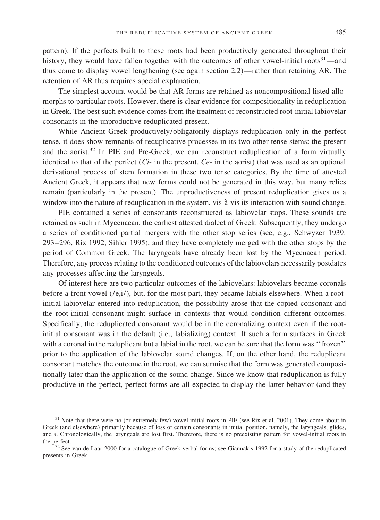pattern). If the perfects built to these roots had been productively generated throughout their history, they would have fallen together with the outcomes of other vowel-initial roots<sup>31</sup>—and thus come to display vowel lengthening (see again section 2.2)—rather than retaining AR. The retention of AR thus requires special explanation.

The simplest account would be that AR forms are retained as noncompositional listed allomorphs to particular roots. However, there is clear evidence for compositionality in reduplication in Greek. The best such evidence comes from the treatment of reconstructed root-initial labiovelar consonants in the unproductive reduplicated present.

While Ancient Greek productively/obligatorily displays reduplication only in the perfect tense, it does show remnants of reduplicative processes in its two other tense stems: the present and the aorist.<sup>32</sup> In PIE and Pre-Greek, we can reconstruct reduplication of a form virtually identical to that of the perfect  $(C_i$ - in the present,  $Ce$ - in the aorist) that was used as an optional derivational process of stem formation in these two tense categories. By the time of attested Ancient Greek, it appears that new forms could not be generated in this way, but many relics remain (particularly in the present). The unproductiveness of present reduplication gives us a window into the nature of reduplication in the system, vis-à-vis its interaction with sound change.

PIE contained a series of consonants reconstructed as labiovelar stops. These sounds are retained as such in Mycenaean, the earliest attested dialect of Greek. Subsequently, they undergo a series of conditioned partial mergers with the other stop series (see, e.g., Schwyzer 1939: 293–296, Rix 1992, Sihler 1995), and they have completely merged with the other stops by the period of Common Greek. The laryngeals have already been lost by the Mycenaean period. Therefore, any process relating to the conditioned outcomes of the labiovelars necessarily postdates any processes affecting the laryngeals.

Of interest here are two particular outcomes of the labiovelars: labiovelars became coronals before a front vowel  $((e,i))$ , but, for the most part, they became labials elsewhere. When a rootinitial labiovelar entered into reduplication, the possibility arose that the copied consonant and the root-initial consonant might surface in contexts that would condition different outcomes. Specifically, the reduplicated consonant would be in the coronalizing context even if the rootinitial consonant was in the default (i.e., labializing) context. If such a form surfaces in Greek with a coronal in the reduplicant but a labial in the root, we can be sure that the form was "frozen" prior to the application of the labiovelar sound changes. If, on the other hand, the reduplicant consonant matches the outcome in the root, we can surmise that the form was generated compositionally later than the application of the sound change. Since we know that reduplication is fully productive in the perfect, perfect forms are all expected to display the latter behavior (and they

<sup>&</sup>lt;sup>31</sup> Note that there were no (or extremely few) vowel-initial roots in PIE (see Rix et al. 2001). They come about in Greek (and elsewhere) primarily because of loss of certain consonants in initial position, namely, the laryngeals, glides, and *s*. Chronologically, the laryngeals are lost first. Therefore, there is no preexisting pattern for vowel-initial roots in the perfect.<br><sup>32</sup> See van de Laar 2000 for a catalogue of Greek verbal forms; see Giannakis 1992 for a study of the reduplicated

presents in Greek.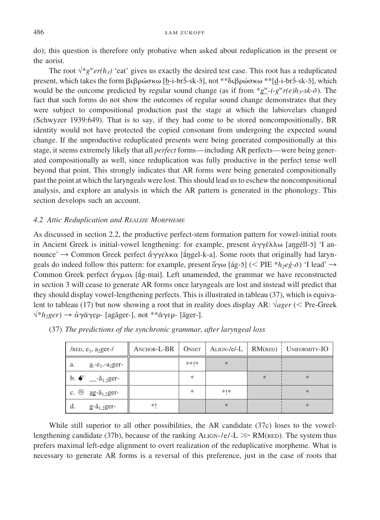do); this question is therefore only probative when asked about reduplication in the present or the aorist.

The root  $\sqrt{\gamma}g^{\psi}er(h_3)$  'eat' gives us exactly the desired test case. This root has a reduplicated present, which takes the form βιβρώσκω [b-i-brɔ̄-sk-ɔ̄], not \*\*διβρώσκω \*\*[d-i-brɔ̃-sk-ɔ̄], which would be the outcome predicted by regular sound change (as if from  $*g'' - i-g''r(e)h_3 - sk-\bar{o}$ ). The fact that such forms do not show the outcomes of regular sound change demonstrates that they were subject to compositional production past the stage at which the labiovelars changed (Schwyzer 1939:649). That is to say, if they had come to be stored noncompositionally, BR identity would not have protected the copied consonant from undergoing the expected sound change. If the unproductive reduplicated presents were being generated compositionally at this stage, it seems extremely likely that all *perfect* forms—including AR perfects—were being generated compositionally as well, since reduplication was fully productive in the perfect tense well beyond that point. This strongly indicates that AR forms were being generated compositionally past the point at which the laryngeals were lost. This should lead us to eschew the noncompositional analysis, and explore an analysis in which the AR pattern is generated in the phonology. This section develops such an account.

# *4.2 Attic Reduplication and REALIZE MORPHEME*

As discussed in section 2.2, the productive perfect-stem formation pattern for vowel-initial roots in Ancient Greek is initial-vowel lengthening: for example, present  $\dot{\alpha}\gamma\gamma\dot{\epsilon}\lambda\lambda\omega$  [angéll-5] 'I announce'  $\rightarrow$  Common Greek perfect άγγελκα [ángel-k-a]. Some roots that originally had laryngeals do indeed follow this pattern: for example, present  $\check{\alpha} \gamma \omega$  [ág-5] (< PIE  $*h_2e\acute{g}\text{-}\bar{\sigma}$ ) 'I lead'  $\rightarrow$ Common Greek perfect άγμαι [ág-mai]. Left unamended, the grammar we have reconstructed in section 3 will cease to generate AR forms once laryngeals are lost and instead will predict that they should display vowel-lengthening perfects. This is illustrated in tableau (37), which is equivalent to tableau (17) but now showing a root that in reality does display AR:  $\sqrt{ager}$  (< Pre-Greek  $\sqrt{\alpha}$  *N*<sub>2</sub>ger</sub> →  $\dot{\alpha}$  γαγερ - [agāger-], not \*\*αγερ - [āger-].

| /RED, $e_1$ , a <sub>2</sub> ger-/            |    |        |        |     | ANCHOR-L-BR   ONSET   ALIGN-/e/-L   RM(RED)   UNIFORMITY-IO |
|-----------------------------------------------|----|--------|--------|-----|-------------------------------------------------------------|
| $a - e_1 - a_2$ ger-<br>a.                    |    | **1*   | $*$    |     |                                                             |
| <b>b.</b> $\bullet^*$ _- $\bar{a}_{1,2}$ ger- |    | $\ast$ |        | $*$ | $\ast$                                                      |
| c. $\otimes$ <u>a</u> g- $\bar{a}_{1,2}$ ger- |    | $\ast$ | *   *  |     | $\ast$                                                      |
| d.<br>$g$ - $\bar{a}_{1,2}$ ger-              | *1 |        | $\ast$ |     | $\ast$                                                      |

(37) *The predictions of the synchronic grammar, after laryngeal loss*

While still superior to all other possibilities, the AR candidate (37c) loses to the vowellengthening candidate (37b), because of the ranking  $A_{LIGN-}/e/-L \gg RM$  (resol. The system thus prefers maximal left-edge alignment to overt realization of the reduplicative morpheme. What is necessary to generate AR forms is a reversal of this preference, just in the case of roots that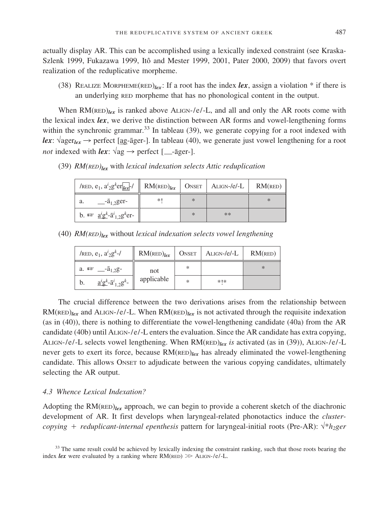actually display AR. This can be accomplished using a lexically indexed constraint (see Kraska-Szlenk 1999, Fukazawa 1999, Itô and Mester 1999, 2001, Pater 2000, 2009) that favors overt realization of the reduplicative morpheme.

(38) REALIZE MORPHEME(RED) $_{lex}$ : If a root has the index *lex*, assign a violation \* if there is an underlying RED morpheme that has no phonological content in the output.

When  $RM(\text{RED})_{lex}$  is ranked above ALIGN-/e/-L, and all and only the AR roots come with the lexical index *lex*, we derive the distinction between AR forms and vowel-lengthening forms within the synchronic grammar.<sup>33</sup> In tableau (39), we generate copying for a root indexed with *lex*:  $\sqrt{\text{ager}_{lex}} \rightarrow$  perfect [ag-āger-]. In tableau (40), we generate just vowel lengthening for a root *not* indexed with *lex*: √ag N perfect [ -a¯ger-].

| /RED, $e_1$ , $a_2g^k$ er <sub>lex</sub> -/                                                    | $RM$ (RED) $_{lex}$ |   | $ONSET$ $ALIGN-/e/-L$ | $RM$ (RED) |
|------------------------------------------------------------------------------------------------|---------------------|---|-----------------------|------------|
| $-$ <sup>-<math>\bar{a}_{1,2}</math>ger-</sup><br>a.                                           | *1                  | * |                       | $\ast$     |
| b. $\mathbb{R}$ $\underline{a}^i \underline{g}^k$ - $\overline{a}^i_{1,2} \underline{g}^k$ er- |                     | * | **                    |            |

(39) *RM(RED)lex* with *lexical indexation selects Attic reduplication*

(40) *RM(RED)lex* without *lexical indexation selects vowel lengthening*

| /RED, $e_1$ , $a_2g^k$ -/                                       | $RM$ (RED) $_{lex}$ | ONSET | Align-/e/-L | $RM$ (RED) |
|-----------------------------------------------------------------|---------------------|-------|-------------|------------|
| a. $\mathbb{R}$ $\frac{1}{2}$ $\frac{1}{2}$ $\frac{1}{2}$       | not                 | *     |             | $*$        |
| $\frac{a^{i}g^{k}}{a^{i}}$ - $\bar{a}^{i}{}_{1,2}g^{k}$ -<br>b. | applicable          | *     | $*1*$       |            |

The crucial difference between the two derivations arises from the relationship between  $RM(\text{RED})_{lex}$  and ALIGN-/e/-L. When  $RM(\text{RED})_{lex}$  is not activated through the requisite indexation (as in (40)), there is nothing to differentiate the vowel-lengthening candidate (40a) from the AR candidate (40b) until ALIGN-/e/-L enters the evaluation. Since the AR candidate has extra copying, ALIGN-/e/-L selects vowel lengthening. When RM(RED)*lex is* activated (as in (39)), ALIGN-/e/-L never gets to exert its force, because RM(RED)*lex* has already eliminated the vowel-lengthening candidate. This allows ONSET to adjudicate between the various copying candidates, ultimately selecting the AR output.

# *4.3 Whence Lexical Indexation?*

Adopting the  $RM(\text{RED})_{lex}$  approach, we can begin to provide a coherent sketch of the diachronic development of AR. It first develops when laryngeal-related phonotactics induce the *clustercopying reduplicant-internal epenthesis* pattern for laryngeal-initial roots (Pre-AR): √\**h2ger*

<sup>33</sup> The same result could be achieved by lexically indexing the constraint ranking, such that those roots bearing the index *lex* were evaluated by a ranking where  $RM$ ( $RED$ )  $\gg$  ALIGN-/ $e$ /-L.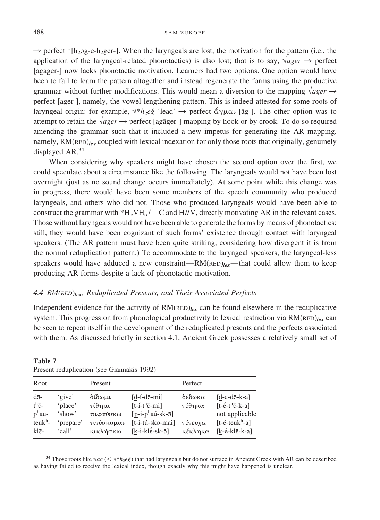$\rightarrow$  perfect \*[h<sub>2</sub>əg-e-h<sub>2</sub>ger-]. When the laryngeals are lost, the motivation for the pattern (i.e., the application of the laryngeal-related phonotactics) is also lost; that is to say,  $\sqrt{ager} \rightarrow$  perfect [agāger-] now lacks phonotactic motivation. Learners had two options. One option would have been to fail to learn the pattern altogether and instead regenerate the forms using the productive grammar without further modifications. This would mean a diversion to the mapping  $\sqrt{ager} \rightarrow$ perfect [āger-], namely, the vowel-lengthening pattern. This is indeed attested for some roots of laryngeal origin: for example, √<sup>\*</sup>*h<sub>2</sub>eg* 'lead' → perfect άγμαι [āg-]. The other option was to attempt to retain the  $\sqrt{ager} \rightarrow$  perfect [agāger-] mapping by hook or by crook. To do so required amending the grammar such that it included a new impetus for generating the AR mapping, namely, RM(RED)*lex* coupled with lexical indexation for only those roots that originally, genuinely displayed AR.<sup>34</sup>

When considering why speakers might have chosen the second option over the first, we could speculate about a circumstance like the following. The laryngeals would not have been lost overnight (just as no sound change occurs immediately). At some point while this change was in progress, there would have been some members of the speech community who produced laryngeals, and others who did not. Those who produced laryngeals would have been able to construct the grammar with \*H<sub> $\alpha$ </sub>VH $_{\alpha}$ / \_\_C and H//V, directly motivating AR in the relevant cases. Those without laryngeals would not have been able to generate the forms by means of phonotactics; still, they would have been cognizant of such forms' existence through contact with laryngeal speakers. (The AR pattern must have been quite striking, considering how divergent it is from the normal reduplication pattern.) To accommodate to the laryngeal speakers, the laryngeal-less speakers would have adduced a new constraint— $RM$ ( $RED$ ) $/_{ex}$ —that could allow them to keep producing AR forms despite a lack of phonotactic motivation.

#### *4.4 RM(RED*)*lex, Reduplicated Presents, and Their Associated Perfects*

Independent evidence for the activity of RM(RED)*lex* can be found elsewhere in the reduplicative system. This progression from phonological productivity to lexical restriction via RM(RED)*lex* can be seen to repeat itself in the development of the reduplicated presents and the perfects associated with them. As discussed briefly in section 4.1, Ancient Greek possesses a relatively small set of

| Root<br>Perfect<br>Present<br>$d\bar{d}$ -<br>$[d-1-d\overline{5}-mi]$<br>δέδωκα<br>δίδωμι<br>'give'<br>$t^h\bar{\epsilon}$ -<br>$[t-i-t^h\overline{\varepsilon}-mi]$<br>'place'<br>τέθηκα<br>τίθημι<br>$p^{\rm h}$ au-<br>$[p-i-p^{\text{h}}a\acute{u}-sk-\bar{5}]$<br>πιφαύσκω<br>'show' |                             |                                                                                                                                                                  |
|--------------------------------------------------------------------------------------------------------------------------------------------------------------------------------------------------------------------------------------------------------------------------------------------|-----------------------------|------------------------------------------------------------------------------------------------------------------------------------------------------------------|
|                                                                                                                                                                                                                                                                                            |                             |                                                                                                                                                                  |
| τιτύσκομαι<br>'prepare'<br>[t-i-tú-sko-mai]<br>τέτευχα<br>$[k-i-kl\tilde{\epsilon}-sk-\bar{o}]$<br>κέκληκα<br>κικλήσκω<br>$kl\bar{\epsilon}$ -<br>'call'                                                                                                                                   | $text{teuk}$ <sup>h</sup> - | $[d-\acute{e}-d\bar{5}-k-a]$<br>$[t-\acute{e}-t^h\bar{\epsilon}-k-a]$<br>not applicable<br>$[t-$ é-teuk <sup>h-</sup> a]<br>$[k-\acute{e}-kl\bar{\epsilon}-k-a]$ |

**Table 7** Present reduplication (see Giannakis 1992)

<sup>34</sup> Those roots like √*ag* (< √\**h<sub>2</sub>eg*́) that had laryngeals but do not surface in Ancient Greek with AR can be described as having failed to receive the lexical index, though exactly why this might have happened is unclear.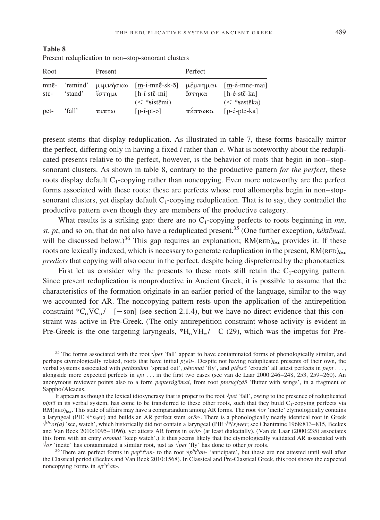| Root                                  |                     | Present                 |                                                                                           | Perfect            |                                                                                                        |
|---------------------------------------|---------------------|-------------------------|-------------------------------------------------------------------------------------------|--------------------|--------------------------------------------------------------------------------------------------------|
| $mn\bar{e}$ -<br>$st\bar{\epsilon}$ - | 'remind'<br>'stand' | μιμνήσκω<br>ίστημι      | $[m-i-mn\acute{\epsilon}-sk-\bar{5}]$<br>$[h-1-st\bar{\varepsilon}-mi]$<br>$(<$ *sistemi) | μέμνημαι<br>έστηκα | $[m-\acute{e}-m\bar{e}-m\acute{e}]$<br>$[h-\acute{e}-st\bar{e}-ka]$<br>$(<$ *sest $\bar{\epsilon}$ ka) |
| pet-                                  | 'fall'              | $\pi$ <i>ι</i> $\pi$ τω | $[p-i-pt-5]$                                                                              | πέπτωκα            | $[p - \acute{e}$ -pt $\bar{o}$ -ka]                                                                    |

**Table 8** Present reduplication to non–stop-sonorant clusters

present stems that display reduplication. As illustrated in table 7, these forms basically mirror the perfect, differing only in having a fixed *i* rather than *e*. What is noteworthy about the reduplicated presents relative to the perfect, however, is the behavior of roots that begin in non–stopsonorant clusters. As shown in table 8, contrary to the productive pattern *for the perfect*, these roots display default  $C_1$ -copying rather than noncopying. Even more noteworthy are the perfect forms associated with these roots: these are perfects whose root allomorphs begin in non–stopsonorant clusters, yet display default  $C_1$ -copying reduplication. That is to say, they contradict the productive pattern even though they are members of the productive category.

What results is a striking gap: there are no  $C_1$ -copying perfects to roots beginning in *mn*, *st*, *pt*, and so on, that do not also have a reduplicated present.<sup>35</sup> (One further exception, *kékt* $\bar{\epsilon}$ *mai*, will be discussed below.)<sup>36</sup> This gap requires an explanation;  $RM(\text{RED})_{lex}$  provides it. If these roots are lexically indexed, which is necessary to generate reduplication in the present, RM(RED)*lex predicts* that copying will also occur in the perfect, despite being dispreferred by the phonotactics.

First let us consider why the presents to these roots still retain the  $C_1$ -copying pattern. Since present reduplication is nonproductive in Ancient Greek, it is possible to assume that the characteristics of the formation originate in an earlier period of the language, similar to the way we accounted for AR. The noncopying pattern rests upon the application of the antirepetition constraint  ${}^*C_{\alpha}VC_{\alpha}/\_\$  [see section 2.1.4), but we have no direct evidence that this constraint was active in Pre-Greek. (The only antirepetition constraint whose activity is evident in Pre-Greek is the one targeting laryngeals,  $*H_{\alpha}VH_{\alpha}/\_{C}$  (29), which was the impetus for Pre-

<sup>35</sup> The forms associated with the root √*pet* 'fall' appear to have contaminated forms of phonologically similar, and perhaps etymologically related, roots that have initial *p(e)t*-. Despite not having reduplicated presents of their own, the verbal systems associated with *petánnūmi* 'spread out', *pétomai* 'fly', and *ptéss*<sup>5</sup> 'crouch' all attest perfects in *pept* ..., alongside more expected perfects in *ept* . . . in the first two cases (see van de Laar 2000:246–248, 253, 259–260). An anonymous reviewer points also to a form *pepteru<sup>g</sup>mai*, from root *pterugizd*<sup>5</sup> 'flutter with wings', in a fragment of Sappho/Alcaeus.

It appears as though the lexical idiosyncrasy that is proper to the root √*pet* 'fall', owing to the presence of reduplicated  $p$ *ipt* $\bar{p}$  in its verbal system, has come to be transferred to these other roots, such that they build C<sub>1</sub>-copying perfects via  $RM(\text{RED})_{\text{lex}}$ . This state of affairs may have a comparandum among AR forms. The root  $\sqrt{or}$  'incite' etymologically contains a laryngeal (PIE  $\sqrt{*}h_3er$ ) and builds an AR perfect stem *or* $\bar{r}$ . There is a phonologically nearly identical root in Greek √*(h)or(a)* 'see, watch', which historically did not contain a laryngeal (PIE √\**(s)wer*; see Chantraine 1968:813–815, Beekes and Van Beek 2010:1095–1096), yet attests AR forms in *or5r*- (at least dialectally). (Van de Laar (2000:235) associates this form with an entry *oromai* 'keep watch'.) It thus seems likely that the etymologically validated AR associated with  $\sqrt{or}$  'incite' has contaminated a similar root, just as  $\sqrt{pet}$  'fly' has done to other pt roots.<br><sup>36</sup> There are perfect forms in  $pep^h t^h an$ - to the root  $\sqrt{p^h t^h an}$ - 'anticipate', but these are not attested until wel

the Classical period (Beekes and Van Beek 2010:1568). In Classical and Pre-Classical Greek, this root shows the expected noncopying forms in  $ep<sup>h</sup>th$  an-.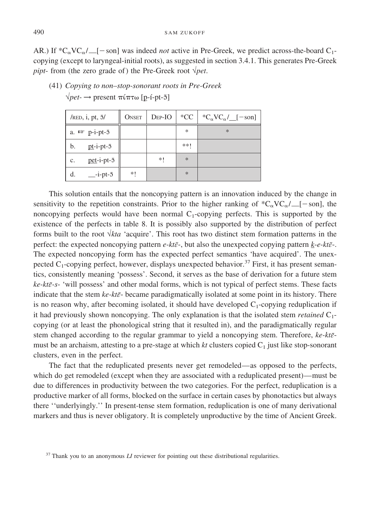AR.) If  ${}^*\text{C}_{\alpha}V\text{C}_{\alpha}/\text{C}_{\alpha}$  [solid was indeed *not* active in Pre-Greek, we predict across-the-board C<sub>1</sub>copying (except to laryngeal-initial roots), as suggested in section 3.4.1. This generates Pre-Greek *pipt*- from (the zero grade of) the Pre-Greek root  $\sqrt{pet}$ .

| / $RED$ , i, pt, $\overline{3}$ / | <b>ONSET</b> | $DEF-IO$ | $*CC$  | ${}^{\ast}C_{\alpha}VC_{\alpha}/$ [-son] |
|-----------------------------------|--------------|----------|--------|------------------------------------------|
| a. $I^{\text{max}}$ p-i-pt-5      |              |          | $\ast$ | $\ast$                                   |
| $pt$ -i-pt- $\bar{5}$<br>b.       |              |          | **!    |                                          |
| $pet-i-pt-5$<br>c.                |              | *1       | $\ast$ |                                          |
| $-i$ -pt- $\bar{5}$<br>d.         | *!           |          | $\ast$ |                                          |

 $\sqrt{pet}$  → present πίπτω [p-í-pt-5] (41) *Copying to non–stop-sonorant roots in Pre-Greek*

This solution entails that the noncopying pattern is an innovation induced by the change in sensitivity to the repetition constraints. Prior to the higher ranking of  ${}^*\text{C}_{\alpha}V\text{C}_{\alpha}/\text{C}_{\alpha}/\text{C}_{\alpha}$  [-son], the noncopying perfects would have been normal  $C_1$ -copying perfects. This is supported by the existence of the perfects in table 8. It is possibly also supported by the distribution of perfect forms built to the root  $\sqrt{kta}$  'acquire'. This root has two distinct stem formation patterns in the perfect: the expected noncopying pattern  $e$ - $kt\bar{e}$ -, but also the unexpected copying pattern  $k$ - $e$ - $kt\bar{e}$ -. The expected noncopying form has the expected perfect semantics 'have acquired'. The unexpected  $C_1$ -copying perfect, however, displays unexpected behavior.<sup>37</sup> First, it has present semantics, consistently meaning 'possess'. Second, it serves as the base of derivation for a future stem *ke-kt* $\bar{\epsilon}$ -s- 'will possess' and other modal forms, which is not typical of perfect stems. These facts indicate that the stem  $ke$ - $kt\bar{e}$ - became paradigmatically isolated at some point in its history. There is no reason why, after becoming isolated, it should have developed  $C_1$ -copying reduplication if it had previously shown noncopying. The only explanation is that the isolated stem *retained* C<sub>1</sub>copying (or at least the phonological string that it resulted in), and the paradigmatically regular stem changed according to the regular grammar to yield a noncopying stem. Therefore,  $ke$ - $kt\bar{e}$ must be an archaism, attesting to a pre-stage at which  $kt$  clusters copied  $C_1$  just like stop-sonorant clusters, even in the perfect.

The fact that the reduplicated presents never get remodeled—as opposed to the perfects, which do get remodeled (except when they are associated with a reduplicated present)—must be due to differences in productivity between the two categories. For the perfect, reduplication is a productive marker of all forms, blocked on the surface in certain cases by phonotactics but always there ''underlyingly.'' In present-tense stem formation, reduplication is one of many derivational markers and thus is never obligatory. It is completely unproductive by the time of Ancient Greek.

<sup>&</sup>lt;sup>37</sup> Thank you to an anonymous *LI* reviewer for pointing out these distributional regularities.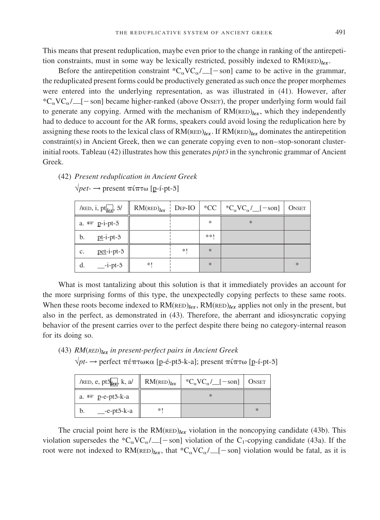This means that present reduplication, maybe even prior to the change in ranking of the antirepetition constraints, must in some way be lexically restricted, possibly indexed to RM(RED)*lex*.

Before the antirepetition constraint  ${}^*C_{\alpha}VC_{\alpha}/$  [-son] came to be active in the grammar, the reduplicated present forms could be productively generated as such once the proper morphemes were entered into the underlying representation, as was illustrated in (41). However, after \*C<sub>o</sub>VC<sub>o</sub>/  $\angle$  [-son] became higher-ranked (above ONSET), the proper underlying form would fail to generate any copying. Armed with the mechanism of  $RM$ ( $RED$ )<sub>lex</sub>, which they independently had to deduce to account for the AR forms, speakers could avoid losing the reduplication here by assigning these roots to the lexical class of  $RM(\text{RED})_{lex}$ . If  $RM(\text{RED})_{lex}$  dominates the antirepetition constraint(s) in Ancient Greek, then we can generate copying even to non–stop-sonorant clusterinitial roots. Tableau (42) illustrates how this generates  $p$ *ipt* $\bar{z}$  in the synchronic grammar of Ancient Greek.

- /red, i, pt<sub>lex</sub>, 5/ a.  $I^{\text{max}}$  p-i-pt-5  $-i$ -pt- $\bar{0}$  $pt$ -i-pt- $\bar{5}$ pet-i-pt-5  $rac{5}{\sqrt{1-5}}$ <br> $t-\overline{5}$  $RM$ (RED)<sub>lex</sub> DEP-IO | \*CC  $^{\ast}C_{\alpha}VC_{\alpha}$  / [-son] | ONSET \*! \* \*! \* \* \*\*! \* \* b. c. d.
- (42) *Present reduplication in Ancient Greek*  $\sqrt{pet}$  → present πίπτω [p-í-pt-5]

What is most tantalizing about this solution is that it immediately provides an account for the more surprising forms of this type, the unexpectedly copying perfects to these same roots. When these roots become indexed to  $RM(\text{RED})_{lex}$ ,  $RM(\text{RED})_{lex}$  applies not only in the present, but also in the perfect, as demonstrated in (43). Therefore, the aberrant and idiosyncratic copying behavior of the present carries over to the perfect despite there being no category-internal reason for its doing so.

(43) *RM*(*RED*)*lex in present-perfect pairs in Ancient Greek*

| $\sqrt{pt}$ $\rightarrow$ perfect πέπτωκα [p-é-pt5-k-a]; present πίπτω [p-í-pt-5] |    |                                                                                                                                  |        |
|-----------------------------------------------------------------------------------|----|----------------------------------------------------------------------------------------------------------------------------------|--------|
|                                                                                   |    | /RED, e, pt $\overline{\delta_{\text{lex}}}, k, a$ /   RM(RED) <sub>lex</sub>   *C <sub>a</sub> VC <sub>a</sub> / [-son]   ONSET |        |
| a. $I^{\text{max}}$ p-e-pt5-k-a                                                   |    |                                                                                                                                  |        |
| $e$ -pt $\bar{o}$ -k-a<br>b.                                                      | *1 |                                                                                                                                  | $\ast$ |

The crucial point here is the  $RM(\text{RED})_{lex}$  violation in the noncopying candidate (43b). This violation supersedes the \*C<sub> $\alpha$ </sub>VC $\alpha$  [-son] violation of the C<sub>1</sub>-copying candidate (43a). If the root were not indexed to  $RM(\text{RED})_{lex}$ , that  $^*C_{\alpha}VC_{\alpha}/$  [-son] violation would be fatal, as it is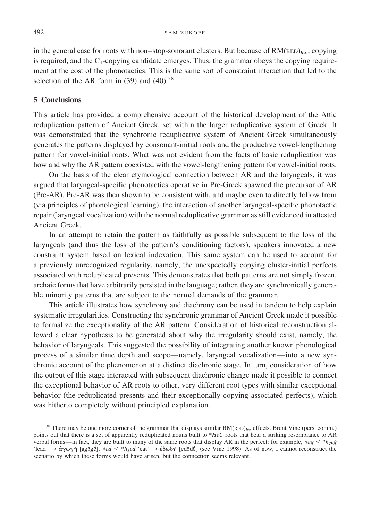in the general case for roots with non–stop-sonorant clusters. But because of  $RM(\text{RED})_{lex}$ , copying is required, and the  $C_1$ -copying candidate emerges. Thus, the grammar obeys the copying requirement at the cost of the phonotactics. This is the same sort of constraint interaction that led to the selection of the AR form in  $(39)$  and  $(40).^{38}$ 

#### **5 Conclusions**

This article has provided a comprehensive account of the historical development of the Attic reduplication pattern of Ancient Greek, set within the larger reduplicative system of Greek. It was demonstrated that the synchronic reduplicative system of Ancient Greek simultaneously generates the patterns displayed by consonant-initial roots and the productive vowel-lengthening pattern for vowel-initial roots. What was not evident from the facts of basic reduplication was how and why the AR pattern coexisted with the vowel-lengthening pattern for vowel-initial roots.

On the basis of the clear etymological connection between AR and the laryngeals, it was argued that laryngeal-specific phonotactics operative in Pre-Greek spawned the precursor of AR (Pre-AR). Pre-AR was then shown to be consistent with, and maybe even to directly follow from (via principles of phonological learning), the interaction of another laryngeal-specific phonotactic repair (laryngeal vocalization) with the normal reduplicative grammar as still evidenced in attested Ancient Greek.

In an attempt to retain the pattern as faithfully as possible subsequent to the loss of the laryngeals (and thus the loss of the pattern's conditioning factors), speakers innovated a new constraint system based on lexical indexation. This same system can be used to account for a previously unrecognized regularity, namely, the unexpectedly copying cluster-initial perfects associated with reduplicated presents. This demonstrates that both patterns are not simply frozen, archaic forms that have arbitrarily persisted in the language; rather, they are synchronically generable minority patterns that are subject to the normal demands of the grammar.

This article illustrates how synchrony and diachrony can be used in tandem to help explain systematic irregularities. Constructing the synchronic grammar of Ancient Greek made it possible to formalize the exceptionality of the AR pattern. Consideration of historical reconstruction allowed a clear hypothesis to be generated about why the irregularity should exist, namely, the behavior of laryngeals. This suggested the possibility of integrating another known phonological process of a similar time depth and scope—namely, laryngeal vocalization—into a new synchronic account of the phenomenon at a distinct diachronic stage. In turn, consideration of how the output of this stage interacted with subsequent diachronic change made it possible to connect the exceptional behavior of AR roots to other, very different root types with similar exceptional behavior (the reduplicated presents and their exceptionally copying associated perfects), which was hitherto completely without principled explanation.

<sup>&</sup>lt;sup>38</sup> There may be one more corner of the grammar that displays similar  $RM$ (RED) $_{lex}$  effects. Brent Vine (pers. comm.) points out that there is a set of apparently reduplicated nouns built to \**HeC* roots that bear a striking resemblance to AR verbal forms—in fact, they are built to many of the same roots that display AR in the perfect: for example,  $\sqrt{a}g \leq *h_2eg$ 'lead'  $\rightarrow \alpha \gamma \omega \gamma \gamma$  [ag5g $\acute{\epsilon}$ ],  $\sqrt{ed} < *h_Ied$  'eat'  $\rightarrow \dot{\epsilon} \delta \omega \delta \gamma$  [ed5d $\acute{\epsilon}$ ] (see Vine 1998). As of now, I cannot reconstruct the scenario by which these forms would have arisen, but the connection seems relevant.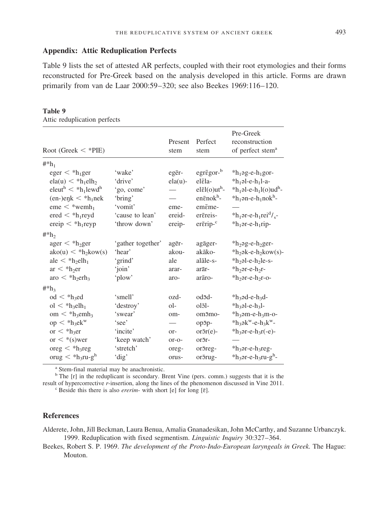#### **Appendix: Attic Reduplication Perfects**

Table 9 lists the set of attested AR perfects, coupled with their root etymologies and their forms reconstructed for Pre-Greek based on the analysis developed in this article. Forms are drawn primarily from van de Laar 2000:59–320; see also Beekes 1969:116–120.

#### **Table 9**

Attic reduplication perfects

|                                                               |                   |              |                                   | Pre-Greek                                                    |
|---------------------------------------------------------------|-------------------|--------------|-----------------------------------|--------------------------------------------------------------|
|                                                               |                   | Present      | Perfect                           | reconstruction                                               |
| Root (Greek $<$ *PIE)                                         |                   | stem         | stem                              | of perfect stem <sup>a</sup>                                 |
| $#^*h_1$                                                      |                   |              |                                   |                                                              |
| $eger < *h_1ger$                                              | 'wake'            | egēr-        | $egr\bar{\epsilon}gor-b$          | $*h_1$ ag-e- $h_1$ gor-                                      |
| $ela(u) < *h_1eh_2$                                           | 'drive'           | $ela(u)$ -   | elēla-                            | $*h_1$ əl-e-h <sub>1</sub> l-a-                              |
| $e$ leut <sup>h</sup> $\lt$ *h <sub>1</sub> lewd <sup>h</sup> | 'go, come'        |              | $el\bar{e}$ l(o)ut <sup>h</sup> - | $*h_1$ əl-e- $h_1$ l(o)ud <sup>h</sup> -                     |
| $(en-)e\nexists k < *h_1$ nek                                 | 'bring'           |              | en $\bar{\epsilon}$ nok $h$ -     | $*h_1$ ən-e-h <sub>1</sub> nok <sup>h</sup> -                |
| $eme <$ *wemh <sub>1</sub>                                    | 'vomit'           | eme-         | emēme-                            |                                                              |
| $\text{ered} < *h_1 \text{reyd}$                              | 'cause to lean'   | ereid-       | erēreis-                          | $*h_1$ ər-e-h <sub>1</sub> rei <sup>d</sup> / <sub>s</sub> - |
| ereip $\langle *h_1$ reyp                                     | 'throw down'      | ereip-       | erērip- <sup>c</sup>              | $*h_1$ or-e-h <sub>1</sub> rip-                              |
| $\#^*h_2$                                                     |                   |              |                                   |                                                              |
| $\text{ager} < *h_2 \text{ger}$                               | 'gather together' | agēr-        | agāger-                           | *h <sub>2</sub> ag-e-h <sub>2</sub> ger-                     |
| $ako(u) < *h_2kow(s)$                                         | 'hear'            | akou-        | akāko-                            | $*h_2$ ək-e- $h_2$ kow(s)-                                   |
| ale $\langle *h_2eh_1$                                        | 'grind'           | ale          | alāle-s-                          | *h <sub>2</sub> al-e-h <sub>2</sub> le-s-                    |
| $ar < *h_2er$                                                 | 'join'            | arar-        | arār-                             | $*h_2$ or-e- $h_2$ r-                                        |
| aro $\langle *h_2erh_3$                                       | 'plow'            | aro-         | arāro-                            | $*h_2$ or-e- $h_2$ r-o-                                      |
| $#^*h_3$                                                      |                   |              |                                   |                                                              |
| $\mathrm{od} <$ *h <sub>3</sub> ed                            | 'smell'           | ozd-         | od5d-                             | $*h_3$ od-e- $h_3$ d-                                        |
| $ol < *h_3elh_1$                                              | 'destroy'         | ol-          | $ol\bar{3}$ -                     | $*h_3$ əl-e-h <sub>3</sub> l-                                |
| $om < *h_3emh_3$                                              | 'swear'           | om-          | om <sub>5mo-</sub>                | $*h_3$ am-e- $h_3$ m-o-                                      |
| $op < *h_3ek$ <sup>w</sup>                                    | 'see'             |              | op5p-                             | $*h_3$ ək <sup>w</sup> -e-h <sub>3</sub> k <sup>w</sup> -    |
| or $\langle *h_3$ er                                          | 'incite'          | or-          | $or\bar{c}r(e)$ -                 | $*$ h <sub>3</sub> $-$ e-h <sub>3</sub> $r(-e)$ -            |
| or $\lt$ *(s)wer                                              | 'keep watch'      | $or$ - $o$ - | or5r-                             |                                                              |
| $\text{oreg} < *h_3$ reg                                      | 'stretch'         | oreg-        | or5reg-                           | *h <sub>3</sub> or-e-h <sub>3</sub> reg-                     |
| orug $\langle *h_3ru-g^h$                                     | 'dig'             | orus-        | or5rug-                           | *h <sub>3</sub> ər-e-h <sub>3</sub> ru-g <sup>h</sup> -      |

<sup>a</sup> Stem-final material may be anachronistic.

<sup>b</sup> The [r] in the reduplicant is secondary. Brent Vine (pers. comm.) suggests that it is the result of hypercorrective *r*-insertion, along the lines of the phenomenon discussed in Vine 2011. <sup>c</sup> Beside this there is also *ererim*- with short [e] for long [₹].

#### **References**

Alderete, John, Jill Beckman, Laura Benua, Amalia Gnanadesikan, John McCarthy, and Suzanne Urbanczyk. 1999. Reduplication with fixed segmentism. *Linguistic Inquiry* 30:327–364.

Beekes, Robert S. P. 1969. *The development of the Proto-Indo-European laryngeals in Greek.* The Hague: Mouton.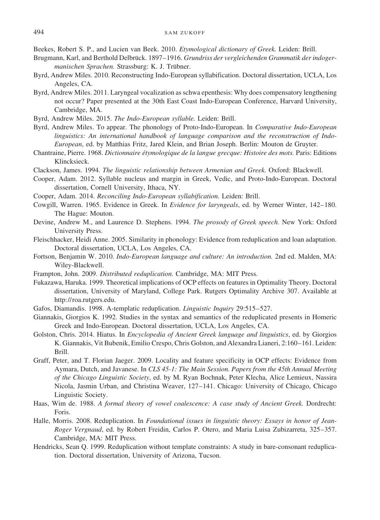Beekes, Robert S. P., and Lucien van Beek. 2010. *Etymological dictionary of Greek.* Leiden: Brill.

- Brugmann, Karl, and Berthold Delbrück. 1897–1916. *Grundriss der vergleichenden Grammatik der indoger*manischen Sprachen. Strassburg: K. J. Trübner.
- Byrd, Andrew Miles. 2010. Reconstructing Indo-European syllabification. Doctoral dissertation, UCLA, Los Angeles, CA.
- Byrd, Andrew Miles. 2011. Laryngeal vocalization as schwa epenthesis: Why does compensatory lengthening not occur? Paper presented at the 30th East Coast Indo-European Conference, Harvard University, Cambridge, MA.
- Byrd, Andrew Miles. 2015. *The Indo-European syllable.* Leiden: Brill.
- Byrd, Andrew Miles. To appear. The phonology of Proto-Indo-European. In *Comparative Indo-European linguistics: An international handbook of language comparison and the reconstruction of Indo-European*, ed. by Matthias Fritz, Jared Klein, and Brian Joseph. Berlin: Mouton de Gruyter.
- Chantraine, Pierre. 1968. *Dictionnaire e´tymologique de la langue grecque: Histoire des mots.* Paris: Editions Klincksieck.
- Clackson, James. 1994. *The linguistic relationship between Armenian and Greek.* Oxford: Blackwell.
- Cooper, Adam. 2012. Syllable nucleus and margin in Greek, Vedic, and Proto-Indo-European. Doctoral dissertation, Cornell University, Ithaca, NY.
- Cooper, Adam. 2014. *Reconciling Indo-European syllabification.* Leiden: Brill.
- Cowgill, Warren. 1965. Evidence in Greek. In *Evidence for laryngeals*, ed. by Werner Winter, 142–180. The Hague: Mouton.
- Devine, Andrew M., and Laurence D. Stephens. 1994. *The prosody of Greek speech.* New York: Oxford University Press.
- Fleischhacker, Heidi Anne. 2005. Similarity in phonology: Evidence from reduplication and loan adaptation. Doctoral dissertation, UCLA, Los Angeles, CA.
- Fortson, Benjamin W. 2010. *Indo-European language and culture: An introduction.* 2nd ed. Malden, MA: Wiley-Blackwell.
- Frampton, John. 2009. *Distributed reduplication.* Cambridge, MA: MIT Press.
- Fukazawa, Haruka. 1999. Theoretical implications of OCP effects on features in Optimality Theory. Doctoral dissertation, University of Maryland, College Park. Rutgers Optimality Archive 307. Available at http://roa.rutgers.edu.
- Gafos, Diamandis. 1998. A-templatic reduplication. *Linguistic Inquiry* 29:515–527.
- Giannakis, Giorgios K. 1992. Studies in the syntax and semantics of the reduplicated presents in Homeric Greek and Indo-European. Doctoral dissertation, UCLA, Los Angeles, CA.
- Golston, Chris. 2014. Hiatus. In *Encyclopedia of Ancient Greek language and linguistics*, ed. by Giorgios K. Giannakis, Vit Bubenik, Emilio Crespo, Chris Golston, and Alexandra Lianeri, 2:160–161. Leiden: Brill.
- Graff, Peter, and T. Florian Jaeger. 2009. Locality and feature specificity in OCP effects: Evidence from Aymara, Dutch, and Javanese. In *CLS 45-1: The Main Session. Papers from the 45th Annual Meeting of the Chicago Linguistic Society*, ed. by M. Ryan Bochnak, Peter Klecha, Alice Lemieux, Nassira Nicola, Jasmin Urban, and Christina Weaver, 127–141. Chicago: University of Chicago, Chicago Linguistic Society.
- Haas, Wim de. 1988. *A formal theory of vowel coalescence: A case study of Ancient Greek.* Dordrecht: Foris.
- Halle, Morris. 2008. Reduplication. In *Foundational issues in linguistic theory: Essays in honor of Jean-Roger Vergnaud*, ed. by Robert Freidin, Carlos P. Otero, and Maria Luisa Zubizarreta, 325–357. Cambridge, MA: MIT Press.
- Hendricks, Sean Q. 1999. Reduplication without template constraints: A study in bare-consonant reduplication. Doctoral dissertation, University of Arizona, Tucson.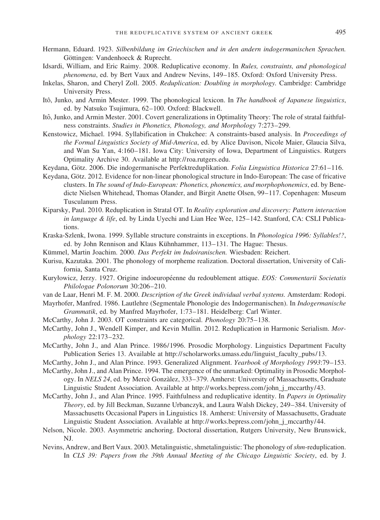- Hermann, Eduard. 1923. *Silbenbildung im Griechischen und in den andern indogermanischen Sprachen.* Göttingen: Vandenhoeck & Ruprecht.
- Idsardi, William, and Eric Raimy. 2008. Reduplicative economy. In *Rules, constraints, and phonological phenomena*, ed. by Bert Vaux and Andrew Nevins, 149–185. Oxford: Oxford University Press.
- Inkelas, Sharon, and Cheryl Zoll. 2005. *Reduplication: Doubling in morphology.* Cambridge: Cambridge University Press.
- Itô, Junko, and Armin Mester. 1999. The phonological lexicon. In *The handbook of Japanese linguistics*, ed. by Natsuko Tsujimura, 62–100. Oxford: Blackwell.
- Itô, Junko, and Armin Mester. 2001. Covert generalizations in Optimality Theory: The role of stratal faithfulness constraints. *Studies in Phonetics, Phonology, and Morphology* 7:273–299.
- Kenstowicz, Michael. 1994. Syllabification in Chukchee: A constraints-based analysis. In *Proceedings of the Formal Linguistics Society of Mid-America*, ed. by Alice Davison, Nicole Maier, Glaucia Silva, and Wan Su Yan, 4:160–181. Iowa City: University of Iowa, Department of Linguistics. Rutgers Optimality Archive 30. Available at http://roa.rutgers.edu.
- Keydana, Götz. 2006. Die indogermanische Perfektreduplikation. *Folia Linguistica Historica* 27:61–116.
- Keydana, Götz. 2012. Evidence for non-linear phonological structure in Indo-European: The case of fricative clusters. In *The sound of Indo-European: Phonetics, phonemics, and morphophonemics*, ed. by Benedicte Nielsen Whitehead, Thomas Olander, and Birgit Anette Olsen, 99–117. Copenhagen: Museum Tusculanum Press.
- Kiparsky, Paul. 2010. Reduplication in Stratal OT. In *Reality exploration and discovery: Pattern interaction in language & life*, ed. by Linda Uyechi and Lian Hee Wee, 125–142. Stanford, CA: CSLI Publications.
- Kraska-Szlenk, Iwona. 1999. Syllable structure constraints in exceptions. In *Phonologica 1996: Syllables!?*, ed. by John Rennison and Klaus Kühnhammer, 113–131. The Hague: Thesus.
- Kümmel, Martin Joachim. 2000. Das Perfekt im Indoiranischen. Wiesbaden: Reichert.
- Kurisu, Kazutaka. 2001. The phonology of morpheme realization. Doctoral dissertation, University of California, Santa Cruz.
- Kuryłowicz, Jerzy. 1927. Origine indoeuropéenne du redoublement attique. *EOS: Commentarii Societatis Philologae Polonorum* 30:206–210.
- van de Laar, Henri M. F. M. 2000. *Description of the Greek individual verbal systems.* Amsterdam: Rodopi.
- Mayrhofer, Manfred. 1986. Lautlehre (Segmentale Phonologie des Indogermanischen). In *Indogermanische Grammatik*, ed. by Manfred Mayrhofer, 1:73–181. Heidelberg: Carl Winter.
- McCarthy, John J. 2003. OT constraints are categorical. *Phonology* 20:75–138.
- McCarthy, John J., Wendell Kimper, and Kevin Mullin. 2012. Reduplication in Harmonic Serialism. *Morphology* 22:173–232.
- McCarthy, John J., and Alan Prince. 1986/1996. Prosodic Morphology. Linguistics Department Faculty Publication Series 13. Available at http://scholarworks.umass.edu/linguist\_faculty\_pubs/13.
- McCarthy, John J., and Alan Prince. 1993. Generalized Alignment. *Yearbook of Morphology 1993*:79–153.
- McCarthy, John J., and Alan Prince. 1994. The emergence of the unmarked: Optimality in Prosodic Morphology. In *NELS 24*, ed. by Mercè Gonzàlez, 333–379. Amherst: University of Massachusetts, Graduate Linguistic Student Association. Available at http://works.bepress.com/john\_j\_mccarthy/43.
- McCarthy, John J., and Alan Prince. 1995. Faithfulness and reduplicative identity. In *Papers in Optimality Theory*, ed. by Jill Beckman, Suzanne Urbanczyk, and Laura Walsh Dickey, 249–384. University of Massachusetts Occasional Papers in Linguistics 18. Amherst: University of Massachusetts, Graduate Linguistic Student Association. Available at http://works.bepress.com/john\_j\_mccarthy/44.
- Nelson, Nicole. 2003. Asymmetric anchoring. Doctoral dissertation, Rutgers University, New Brunswick, NJ.
- Nevins, Andrew, and Bert Vaux. 2003. Metalinguistic, shmetalinguistic: The phonology of*shm*-reduplication. In *CLS 39: Papers from the 39th Annual Meeting of the Chicago Linguistic Society*, ed. by J.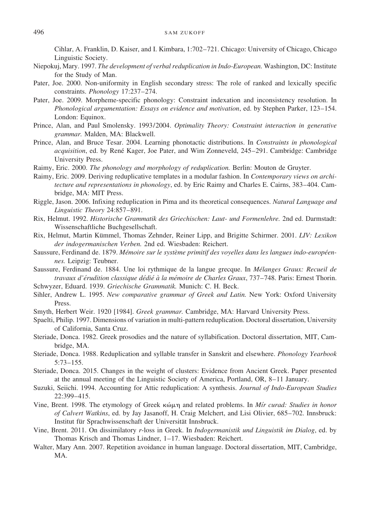Cihlar, A. Franklin, D. Kaiser, and I. Kimbara, 1:702–721. Chicago: University of Chicago, Chicago Linguistic Society.

- Niepokuj, Mary. 1997. *The development of verbal reduplication in Indo-European.* Washington, DC: Institute for the Study of Man.
- Pater, Joe. 2000. Non-uniformity in English secondary stress: The role of ranked and lexically specific constraints. *Phonology* 17:237–274.
- Pater, Joe. 2009. Morpheme-specific phonology: Constraint indexation and inconsistency resolution. In *Phonological argumentation: Essays on evidence and motivation*, ed. by Stephen Parker, 123–154. London: Equinox.
- Prince, Alan, and Paul Smolensky. 1993/2004. *Optimality Theory: Constraint interaction in generative grammar.* Malden, MA: Blackwell.
- Prince, Alan, and Bruce Tesar. 2004. Learning phonotactic distributions. In *Constraints in phonological acquisition*, ed. by René Kager, Joe Pater, and Wim Zonneveld, 245–291. Cambridge: Cambridge University Press.
- Raimy, Eric. 2000. *The phonology and morphology of reduplication.* Berlin: Mouton de Gruyter.
- Raimy, Eric. 2009. Deriving reduplicative templates in a modular fashion. In *Contemporary views on architecture and representations in phonology*, ed. by Eric Raimy and Charles E. Cairns, 383–404. Cambridge, MA: MIT Press.
- Riggle, Jason. 2006. Infixing reduplication in Pima and its theoretical consequences. *Natural Language and Linguistic Theory* 24:857–891.
- Rix, Helmut. 1992. *Historische Grammatik des Griechischen: Laut- und Formenlehre.* 2nd ed. Darmstadt: Wissenschaftliche Buchgesellschaft.
- Rix, Helmut, Martin Ku¨mmel, Thomas Zehnder, Reiner Lipp, and Brigitte Schirmer. 2001. *LIV: Lexikon der indogermanischen Verben.* 2nd ed. Wiesbaden: Reichert.
- Saussure, Ferdinand de. 1879. Mémoire sur le système primitif des voyelles dans les langues indo-européen*nes.* Leipzig: Teubner.
- Saussure, Ferdinand de. 1884. Une loi rythmique de la langue grecque. In *Mélanges Graux: Recueil de travaux d'e´rudition classique de´die´ a` la me´moire de Charles Graux*, 737–748. Paris: Ernest Thorin.
- Schwyzer, Eduard. 1939. *Griechische Grammatik.* Munich: C. H. Beck.
- Sihler, Andrew L. 1995. *New comparative grammar of Greek and Latin.* New York: Oxford University Press.
- Smyth, Herbert Weir. 1920 [1984]. *Greek grammar.* Cambridge, MA: Harvard University Press.
- Spaelti, Philip. 1997. Dimensions of variation in multi-pattern reduplication. Doctoral dissertation, University of California, Santa Cruz.
- Steriade, Donca. 1982. Greek prosodies and the nature of syllabification. Doctoral dissertation, MIT, Cambridge, MA.
- Steriade, Donca. 1988. Reduplication and syllable transfer in Sanskrit and elsewhere. *Phonology Yearbook* 5:73–155.
- Steriade, Donca. 2015. Changes in the weight of clusters: Evidence from Ancient Greek. Paper presented at the annual meeting of the Linguistic Society of America, Portland, OR, 8–11 January.
- Suzuki, Seiichi. 1994. Accounting for Attic reduplication: A synthesis. *Journal of Indo-European Studies* 22:399–415.
- Vine, Brent. 1998. The etymology of Greek κώμη and related problems. In *Mír curad: Studies in honor of Calvert Watkins*, ed. by Jay Jasanoff, H. Craig Melchert, and Lisi Olivier, 685–702. Innsbruck: Institut für Sprachwissenschaft der Universität Innsbruck.
- Vine, Brent. 2011. On dissimilatory *r*-loss in Greek. In *Indogermanistik und Linguistik im Dialog*, ed. by Thomas Krisch and Thomas Lindner, 1–17. Wiesbaden: Reichert.
- Walter, Mary Ann. 2007. Repetition avoidance in human language. Doctoral dissertation, MIT, Cambridge, MA.